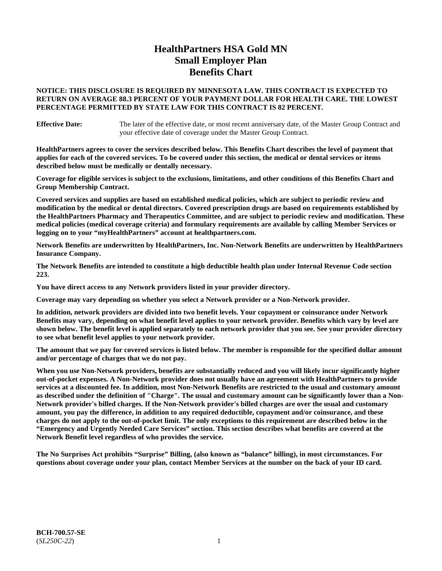# **HealthPartners HSA Gold MN Small Employer Plan Benefits Chart**

### **NOTICE: THIS DISCLOSURE IS REQUIRED BY MINNESOTA LAW. THIS CONTRACT IS EXPECTED TO RETURN ON AVERAGE 88.3 PERCENT OF YOUR PAYMENT DOLLAR FOR HEALTH CARE. THE LOWEST PERCENTAGE PERMITTED BY STATE LAW FOR THIS CONTRACT IS 82 PERCENT.**

**Effective Date:** The later of the effective date, or most recent anniversary date, of the Master Group Contract and your effective date of coverage under the Master Group Contract.

**HealthPartners agrees to cover the services described below. This Benefits Chart describes the level of payment that applies for each of the covered services. To be covered under this section, the medical or dental services or items described below must be medically or dentally necessary.**

**Coverage for eligible services is subject to the exclusions, limitations, and other conditions of this Benefits Chart and Group Membership Contract.**

**Covered services and supplies are based on established medical policies, which are subject to periodic review and modification by the medical or dental directors. Covered prescription drugs are based on requirements established by the HealthPartners Pharmacy and Therapeutics Committee, and are subject to periodic review and modification. These medical policies (medical coverage criteria) and formulary requirements are available by calling Member Services or logging on to your "myHealthPartners" account at [healthpartners.com.](https://www.healthpartners.com/hp/index.html)**

**Network Benefits are underwritten by HealthPartners, Inc. Non-Network Benefits are underwritten by HealthPartners Insurance Company.** 

**The Network Benefits are intended to constitute a high deductible health plan under Internal Revenue Code section 223.** 

**You have direct access to any Network providers listed in your provider directory.**

**Coverage may vary depending on whether you select a Network provider or a Non-Network provider.**

**In addition, network providers are divided into two benefit levels. Your copayment or coinsurance under Network Benefits may vary, depending on what benefit level applies to your network provider. Benefits which vary by level are shown below. The benefit level is applied separately to each network provider that you see. See your provider directory to see what benefit level applies to your network provider.**

**The amount that we pay for covered services is listed below. The member is responsible for the specified dollar amount and/or percentage of charges that we do not pay.**

**When you use Non-Network providers, benefits are substantially reduced and you will likely incur significantly higher out-of-pocket expenses. A Non-Network provider does not usually have an agreement with HealthPartners to provide services at a discounted fee. In addition, most Non-Network Benefits are restricted to the usual and customary amount as described under the definition of "Charge". The usual and customary amount can be significantly lower than a Non-Network provider's billed charges. If the Non-Network provider's billed charges are over the usual and customary amount, you pay the difference, in addition to any required deductible, copayment and/or coinsurance, and these charges do not apply to the out-of-pocket limit. The only exceptions to this requirement are described below in the "Emergency and Urgently Needed Care Services" section. This section describes what benefits are covered at the Network Benefit level regardless of who provides the service.**

**The No Surprises Act prohibits "Surprise" Billing, (also known as "balance" billing), in most circumstances. For questions about coverage under your plan, contact Member Services at the number on the back of your ID card.**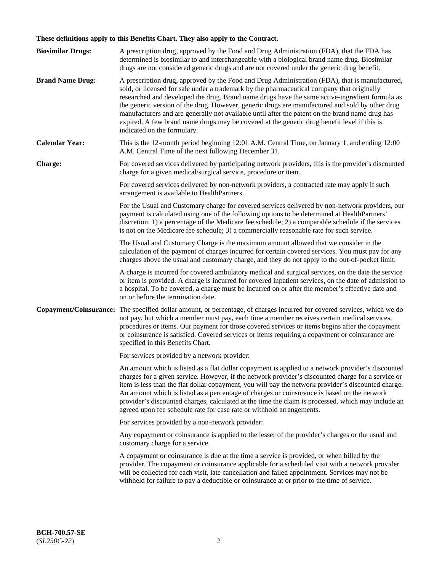# **These definitions apply to this Benefits Chart. They also apply to the Contract.**

| <b>Biosimilar Drugs:</b> | A prescription drug, approved by the Food and Drug Administration (FDA), that the FDA has<br>determined is biosimilar to and interchangeable with a biological brand name drug. Biosimilar<br>drugs are not considered generic drugs and are not covered under the generic drug benefit.                                                                                                                                                                                                                                                                                                                                           |
|--------------------------|------------------------------------------------------------------------------------------------------------------------------------------------------------------------------------------------------------------------------------------------------------------------------------------------------------------------------------------------------------------------------------------------------------------------------------------------------------------------------------------------------------------------------------------------------------------------------------------------------------------------------------|
| <b>Brand Name Drug:</b>  | A prescription drug, approved by the Food and Drug Administration (FDA), that is manufactured,<br>sold, or licensed for sale under a trademark by the pharmaceutical company that originally<br>researched and developed the drug. Brand name drugs have the same active-ingredient formula as<br>the generic version of the drug. However, generic drugs are manufactured and sold by other drug<br>manufacturers and are generally not available until after the patent on the brand name drug has<br>expired. A few brand name drugs may be covered at the generic drug benefit level if this is<br>indicated on the formulary. |
| <b>Calendar Year:</b>    | This is the 12-month period beginning 12:01 A.M. Central Time, on January 1, and ending 12:00<br>A.M. Central Time of the next following December 31.                                                                                                                                                                                                                                                                                                                                                                                                                                                                              |
| <b>Charge:</b>           | For covered services delivered by participating network providers, this is the provider's discounted<br>charge for a given medical/surgical service, procedure or item.                                                                                                                                                                                                                                                                                                                                                                                                                                                            |
|                          | For covered services delivered by non-network providers, a contracted rate may apply if such<br>arrangement is available to HealthPartners.                                                                                                                                                                                                                                                                                                                                                                                                                                                                                        |
|                          | For the Usual and Customary charge for covered services delivered by non-network providers, our<br>payment is calculated using one of the following options to be determined at HealthPartners'<br>discretion: 1) a percentage of the Medicare fee schedule; 2) a comparable schedule if the services<br>is not on the Medicare fee schedule; 3) a commercially reasonable rate for such service.                                                                                                                                                                                                                                  |
|                          | The Usual and Customary Charge is the maximum amount allowed that we consider in the<br>calculation of the payment of charges incurred for certain covered services. You must pay for any<br>charges above the usual and customary charge, and they do not apply to the out-of-pocket limit.                                                                                                                                                                                                                                                                                                                                       |
|                          | A charge is incurred for covered ambulatory medical and surgical services, on the date the service<br>or item is provided. A charge is incurred for covered inpatient services, on the date of admission to<br>a hospital. To be covered, a charge must be incurred on or after the member's effective date and<br>on or before the termination date.                                                                                                                                                                                                                                                                              |
| Copayment/Coinsurance:   | The specified dollar amount, or percentage, of charges incurred for covered services, which we do<br>not pay, but which a member must pay, each time a member receives certain medical services,<br>procedures or items. Our payment for those covered services or items begins after the copayment<br>or coinsurance is satisfied. Covered services or items requiring a copayment or coinsurance are<br>specified in this Benefits Chart.                                                                                                                                                                                        |
|                          | For services provided by a network provider:                                                                                                                                                                                                                                                                                                                                                                                                                                                                                                                                                                                       |
|                          | An amount which is listed as a flat dollar copayment is applied to a network provider's discounted<br>charges for a given service. However, if the network provider's discounted charge for a service or<br>item is less than the flat dollar copayment, you will pay the network provider's discounted charge.<br>An amount which is listed as a percentage of charges or coinsurance is based on the network<br>provider's discounted charges, calculated at the time the claim is processed, which may include an<br>agreed upon fee schedule rate for case rate or withhold arrangements.                                      |
|                          | For services provided by a non-network provider:                                                                                                                                                                                                                                                                                                                                                                                                                                                                                                                                                                                   |
|                          | Any copayment or coinsurance is applied to the lesser of the provider's charges or the usual and<br>customary charge for a service.                                                                                                                                                                                                                                                                                                                                                                                                                                                                                                |
|                          | A copayment or coinsurance is due at the time a service is provided, or when billed by the<br>provider. The copayment or coinsurance applicable for a scheduled visit with a network provider<br>will be collected for each visit, late cancellation and failed appointment. Services may not be<br>withheld for failure to pay a deductible or coinsurance at or prior to the time of service.                                                                                                                                                                                                                                    |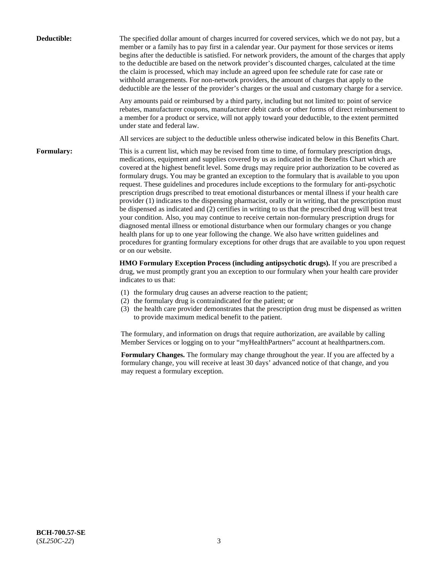| Deductible:       | The specified dollar amount of charges incurred for covered services, which we do not pay, but a<br>member or a family has to pay first in a calendar year. Our payment for those services or items<br>begins after the deductible is satisfied. For network providers, the amount of the charges that apply<br>to the deductible are based on the network provider's discounted charges, calculated at the time<br>the claim is processed, which may include an agreed upon fee schedule rate for case rate or<br>withhold arrangements. For non-network providers, the amount of charges that apply to the<br>deductible are the lesser of the provider's charges or the usual and customary charge for a service.                                                                                                                                                                                                                                                                                                                                                                                                                                                                                                                                             |
|-------------------|------------------------------------------------------------------------------------------------------------------------------------------------------------------------------------------------------------------------------------------------------------------------------------------------------------------------------------------------------------------------------------------------------------------------------------------------------------------------------------------------------------------------------------------------------------------------------------------------------------------------------------------------------------------------------------------------------------------------------------------------------------------------------------------------------------------------------------------------------------------------------------------------------------------------------------------------------------------------------------------------------------------------------------------------------------------------------------------------------------------------------------------------------------------------------------------------------------------------------------------------------------------|
|                   | Any amounts paid or reimbursed by a third party, including but not limited to: point of service<br>rebates, manufacturer coupons, manufacturer debit cards or other forms of direct reimbursement to<br>a member for a product or service, will not apply toward your deductible, to the extent permitted<br>under state and federal law.                                                                                                                                                                                                                                                                                                                                                                                                                                                                                                                                                                                                                                                                                                                                                                                                                                                                                                                        |
|                   | All services are subject to the deductible unless otherwise indicated below in this Benefits Chart.                                                                                                                                                                                                                                                                                                                                                                                                                                                                                                                                                                                                                                                                                                                                                                                                                                                                                                                                                                                                                                                                                                                                                              |
| <b>Formulary:</b> | This is a current list, which may be revised from time to time, of formulary prescription drugs,<br>medications, equipment and supplies covered by us as indicated in the Benefits Chart which are<br>covered at the highest benefit level. Some drugs may require prior authorization to be covered as<br>formulary drugs. You may be granted an exception to the formulary that is available to you upon<br>request. These guidelines and procedures include exceptions to the formulary for anti-psychotic<br>prescription drugs prescribed to treat emotional disturbances or mental illness if your health care<br>provider (1) indicates to the dispensing pharmacist, orally or in writing, that the prescription must<br>be dispensed as indicated and (2) certifies in writing to us that the prescribed drug will best treat<br>your condition. Also, you may continue to receive certain non-formulary prescription drugs for<br>diagnosed mental illness or emotional disturbance when our formulary changes or you change<br>health plans for up to one year following the change. We also have written guidelines and<br>procedures for granting formulary exceptions for other drugs that are available to you upon request<br>or on our website. |
|                   | HMO Formulary Exception Process (including antipsychotic drugs). If you are prescribed a<br>drug, we must promptly grant you an exception to our formulary when your health care provider<br>indicates to us that:                                                                                                                                                                                                                                                                                                                                                                                                                                                                                                                                                                                                                                                                                                                                                                                                                                                                                                                                                                                                                                               |
|                   | (1) the formulary drug causes an adverse reaction to the patient;<br>(2) the formulary drug is contraindicated for the patient; or<br>(3) the health care provider demonstrates that the prescription drug must be dispensed as written<br>to provide maximum medical benefit to the patient.                                                                                                                                                                                                                                                                                                                                                                                                                                                                                                                                                                                                                                                                                                                                                                                                                                                                                                                                                                    |
|                   | The formulary, and information on drugs that require authorization, are available by calling<br>Member Services or logging on to your "myHealthPartners" account at healthpartners.com.                                                                                                                                                                                                                                                                                                                                                                                                                                                                                                                                                                                                                                                                                                                                                                                                                                                                                                                                                                                                                                                                          |
|                   | Formulary Changes. The formulary may change throughout the year. If you are affected by a<br>formulary change, you will receive at least 30 days' advanced notice of that change, and you<br>may request a formulary exception.                                                                                                                                                                                                                                                                                                                                                                                                                                                                                                                                                                                                                                                                                                                                                                                                                                                                                                                                                                                                                                  |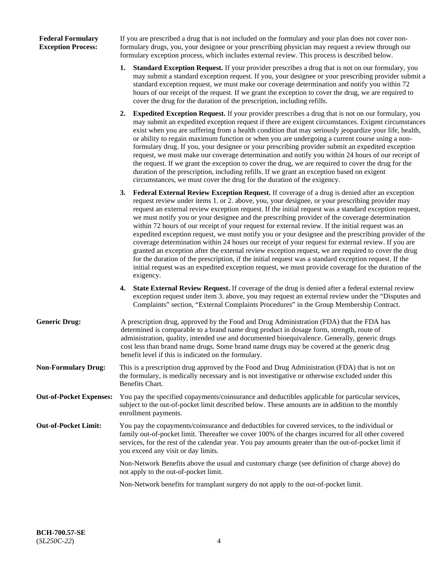### **Federal Formulary Exception Process:**

If you are prescribed a drug that is not included on the formulary and your plan does not cover nonformulary drugs, you, your designee or your prescribing physician may request a review through our formulary exception process, which includes external review. This process is described below.

- **1. Standard Exception Request.** If your provider prescribes a drug that is not on our formulary, you may submit a standard exception request. If you, your designee or your prescribing provider submit a standard exception request, we must make our coverage determination and notify you within 72 hours of our receipt of the request. If we grant the exception to cover the drug, we are required to cover the drug for the duration of the prescription, including refills.
- **2. Expedited Exception Request.** If your provider prescribes a drug that is not on our formulary, you may submit an expedited exception request if there are exigent circumstances. Exigent circumstances exist when you are suffering from a health condition that may seriously jeopardize your life, health, or ability to regain maximum function or when you are undergoing a current course using a nonformulary drug. If you, your designee or your prescribing provider submit an expedited exception request, we must make our coverage determination and notify you within 24 hours of our receipt of the request. If we grant the exception to cover the drug, we are required to cover the drug for the duration of the prescription, including refills. If we grant an exception based on exigent circumstances, we must cover the drug for the duration of the exigency.
- **3. Federal External Review Exception Request.** If coverage of a drug is denied after an exception request review under items 1. or 2. above, you, your designee, or your prescribing provider may request an external review exception request. If the initial request was a standard exception request, we must notify you or your designee and the prescribing provider of the coverage determination within 72 hours of our receipt of your request for external review. If the initial request was an expedited exception request, we must notify you or your designee and the prescribing provider of the coverage determination within 24 hours our receipt of your request for external review. If you are granted an exception after the external review exception request, we are required to cover the drug for the duration of the prescription, if the initial request was a standard exception request. If the initial request was an expedited exception request, we must provide coverage for the duration of the exigency.
- **4. State External Review Request.** If coverage of the drug is denied after a federal external review exception request under item 3. above, you may request an external review under the "Disputes and Complaints" section, "External Complaints Procedures" in the Group Membership Contract.
- **Generic Drug:** A prescription drug, approved by the Food and Drug Administration (FDA) that the FDA has determined is comparable to a brand name drug product in dosage form, strength, route of administration, quality, intended use and documented bioequivalence. Generally, generic drugs cost less than brand name drugs. Some brand name drugs may be covered at the generic drug benefit level if this is indicated on the formulary.
- **Non-Formulary Drug:** This is a prescription drug approved by the Food and Drug Administration (FDA) that is not on the formulary, is medically necessary and is not investigative or otherwise excluded under this Benefits Chart.
- **Out-of-Pocket Expenses:** You pay the specified copayments/coinsurance and deductibles applicable for particular services, subject to the out-of-pocket limit described below. These amounts are in addition to the monthly enrollment payments.
- **Out-of-Pocket Limit:** You pay the copayments/coinsurance and deductibles for covered services, to the individual or family out-of-pocket limit. Thereafter we cover 100% of the charges incurred for all other covered services, for the rest of the calendar year. You pay amounts greater than the out-of-pocket limit if you exceed any visit or day limits.

Non-Network Benefits above the usual and customary charge (see definition of charge above) do not apply to the out-of-pocket limit.

Non-Network benefits for transplant surgery do not apply to the out-of-pocket limit.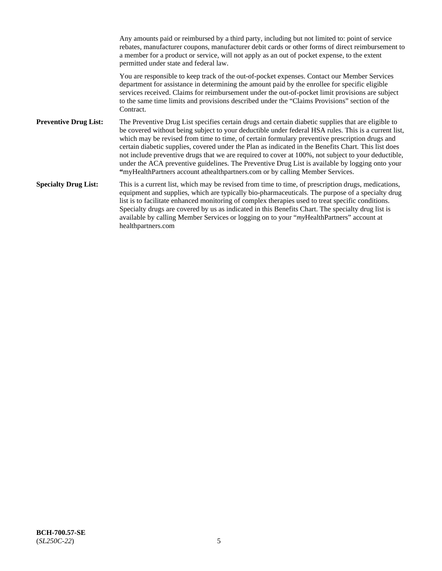Any amounts paid or reimbursed by a third party, including but not limited to: point of service rebates, manufacturer coupons, manufacturer debit cards or other forms of direct reimbursement to a member for a product or service, will not apply as an out of pocket expense, to the extent permitted under state and federal law. You are responsible to keep track of the out-of-pocket expenses. Contact our Member Services department for assistance in determining the amount paid by the enrollee for specific eligible services received. Claims for reimbursement under the out-of-pocket limit provisions are subject to the same time limits and provisions described under the "Claims Provisions" section of the **Contract Preventive Drug List:** The Preventive Drug List specifies certain drugs and certain diabetic supplies that are eligible to be covered without being subject to your deductible under federal HSA rules. This is a current list, which may be revised from time to time, of certain formulary preventive prescription drugs and certain diabetic supplies, covered under the Plan as indicated in the Benefits Chart. This list does not include preventive drugs that we are required to cover at 100%, not subject to your deductible, under the ACA preventive guidelines. The Preventive Drug List is available by logging onto your **"**myHealthPartners account athealthpartners.com or by calling Member Services. **Specialty Drug List:** This is a current list, which may be revised from time to time, of prescription drugs, medications, equipment and supplies, which are typically bio-pharmaceuticals. The purpose of a specialty drug list is to facilitate enhanced monitoring of complex therapies used to treat specific conditions. Specialty drugs are covered by us as indicated in this Benefits Chart. The specialty drug list is available by calling Member Services or logging on to your "*my*HealthPartners" account at [healthpartners.com](https://www.healthpartners.com/hp/index.html)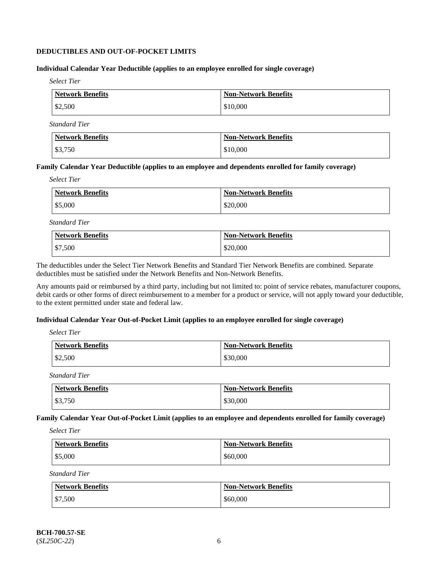### **DEDUCTIBLES AND OUT-OF-POCKET LIMITS**

### **Individual Calendar Year Deductible (applies to an employee enrolled for single coverage)**

*Select Tier*

| Network Benefits | Non-Network Benefits |
|------------------|----------------------|
| \$2,500          | \$10,000             |

*Standard Tier*

| Network Benefits  | <b>Non-Network Benefits</b> |
|-------------------|-----------------------------|
| $\frac{$3,750}{}$ | \$10,000                    |

#### **Family Calendar Year Deductible (applies to an employee and dependents enrolled for family coverage)**

*Select Tier*

| <b>Network Benefits</b> | <b>Non-Network Benefits</b> |
|-------------------------|-----------------------------|
| \$5,000                 | \$20,000                    |

*Standard Tier*

| <b>Network Benefits</b> | <b>Non-Network Benefits</b> |
|-------------------------|-----------------------------|
| $\frac{1}{2}$ \$7,500   | \$20,000                    |

The deductibles under the Select Tier Network Benefits and Standard Tier Network Benefits are combined. Separate deductibles must be satisfied under the Network Benefits and Non-Network Benefits.

Any amounts paid or reimbursed by a third party, including but not limited to: point of service rebates, manufacturer coupons, debit cards or other forms of direct reimbursement to a member for a product or service, will not apply toward your deductible, to the extent permitted under state and federal law.

### **Individual Calendar Year Out-of-Pocket Limit (applies to an employee enrolled for single coverage)**

*Select Tier*

| <b>Network Benefits</b> | <b>Non-Network Benefits</b> |
|-------------------------|-----------------------------|
| \$2,500                 | \$30,000                    |

*Standard Tier*

| <b>Network Benefits</b> | <b>Non-Network Benefits</b> |
|-------------------------|-----------------------------|
| \$3,750                 | \$30,000                    |

**Family Calendar Year Out-of-Pocket Limit (applies to an employee and dependents enrolled for family coverage)**

*Select Tier*

| Network Benefits | <b>Non-Network Benefits</b> |
|------------------|-----------------------------|
| $\$5,000$        | \$60,000                    |

*Standard Tier*

| Network Benefits | <b>Non-Network Benefits</b> |
|------------------|-----------------------------|
| \$7,500          | \$60,000                    |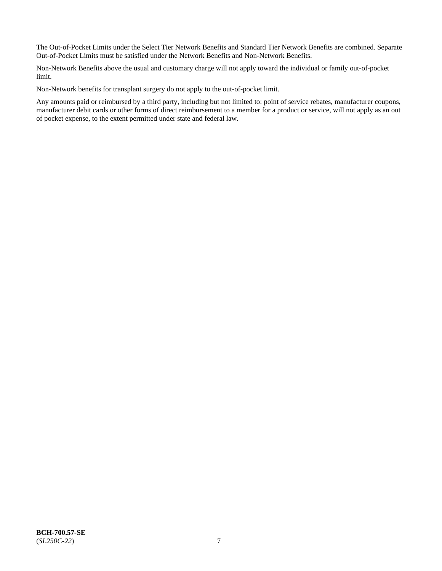The Out-of-Pocket Limits under the Select Tier Network Benefits and Standard Tier Network Benefits are combined. Separate Out-of-Pocket Limits must be satisfied under the Network Benefits and Non-Network Benefits.

Non-Network Benefits above the usual and customary charge will not apply toward the individual or family out-of-pocket limit.

Non-Network benefits for transplant surgery do not apply to the out-of-pocket limit.

Any amounts paid or reimbursed by a third party, including but not limited to: point of service rebates, manufacturer coupons, manufacturer debit cards or other forms of direct reimbursement to a member for a product or service, will not apply as an out of pocket expense, to the extent permitted under state and federal law.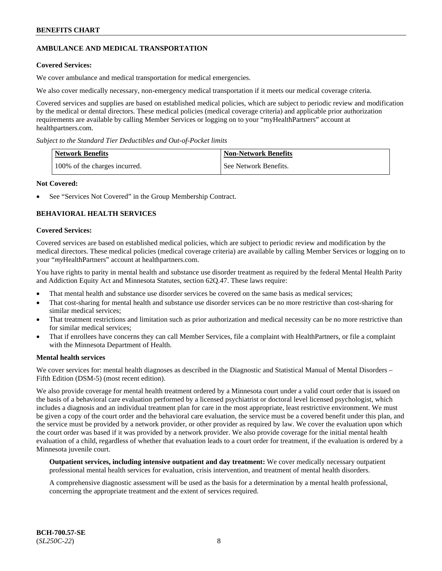# **AMBULANCE AND MEDICAL TRANSPORTATION**

# **Covered Services:**

We cover ambulance and medical transportation for medical emergencies.

We also cover medically necessary, non-emergency medical transportation if it meets our medical coverage criteria.

Covered services and supplies are based on established medical policies, which are subject to periodic review and modification by the medical or dental directors. These medical policies (medical coverage criteria) and applicable prior authorization requirements are available by calling Member Services or logging on to your "myHealthPartners" account at [healthpartners.com.](https://www.healthpartners.com/hp/index.html)

*Subject to the Standard Tier Deductibles and Out-of-Pocket limits*

| <b>Network Benefits</b>       | <b>Non-Network Benefits</b> |
|-------------------------------|-----------------------------|
| 100% of the charges incurred. | See Network Benefits.       |

#### **Not Covered:**

See "Services Not Covered" in the Group Membership Contract.

# **BEHAVIORAL HEALTH SERVICES**

#### **Covered Services:**

Covered services are based on established medical policies, which are subject to periodic review and modification by the medical directors. These medical policies (medical coverage criteria) are available by calling Member Services or logging on to your "*my*HealthPartners" account at [healthpartners.com.](http://www.healthpartners.com/)

You have rights to parity in mental health and substance use disorder treatment as required by the federal Mental Health Parity and Addiction Equity Act and Minnesota Statutes, section 62Q.47. These laws require:

- That mental health and substance use disorder services be covered on the same basis as medical services;
- That cost-sharing for mental health and substance use disorder services can be no more restrictive than cost-sharing for similar medical services;
- That treatment restrictions and limitation such as prior authorization and medical necessity can be no more restrictive than for similar medical services;
- That if enrollees have concerns they can call Member Services, file a complaint with HealthPartners, or file a complaint with the Minnesota Department of Health.

### **Mental health services**

We cover services for: mental health diagnoses as described in the Diagnostic and Statistical Manual of Mental Disorders – Fifth Edition (DSM-5) (most recent edition).

We also provide coverage for mental health treatment ordered by a Minnesota court under a valid court order that is issued on the basis of a behavioral care evaluation performed by a licensed psychiatrist or doctoral level licensed psychologist, which includes a diagnosis and an individual treatment plan for care in the most appropriate, least restrictive environment. We must be given a copy of the court order and the behavioral care evaluation, the service must be a covered benefit under this plan, and the service must be provided by a network provider, or other provider as required by law. We cover the evaluation upon which the court order was based if it was provided by a network provider. We also provide coverage for the initial mental health evaluation of a child, regardless of whether that evaluation leads to a court order for treatment, if the evaluation is ordered by a Minnesota juvenile court.

**Outpatient services, including intensive outpatient and day treatment:** We cover medically necessary outpatient professional mental health services for evaluation, crisis intervention, and treatment of mental health disorders.

A comprehensive diagnostic assessment will be used as the basis for a determination by a mental health professional, concerning the appropriate treatment and the extent of services required.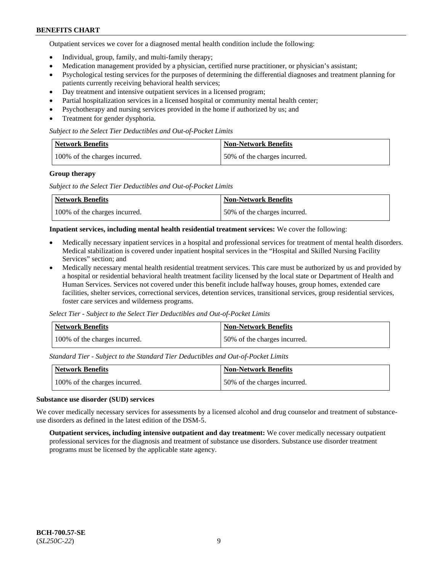Outpatient services we cover for a diagnosed mental health condition include the following:

- Individual, group, family, and multi-family therapy;
- Medication management provided by a physician, certified nurse practitioner, or physician's assistant;
- Psychological testing services for the purposes of determining the differential diagnoses and treatment planning for patients currently receiving behavioral health services;
- Day treatment and intensive outpatient services in a licensed program;
- Partial hospitalization services in a licensed hospital or community mental health center;
- Psychotherapy and nursing services provided in the home if authorized by us; and
- Treatment for gender dysphoria.

#### *Subject to the Select Tier Deductibles and Out-of-Pocket Limits*

| Network Benefits              | <b>Non-Network Benefits</b>  |
|-------------------------------|------------------------------|
| 100% of the charges incurred. | 50% of the charges incurred. |

#### **Group therapy**

*Subject to the Select Tier Deductibles and Out-of-Pocket Limits*

| Network Benefits              | Non-Network Benefits         |
|-------------------------------|------------------------------|
| 100% of the charges incurred. | 50% of the charges incurred. |

#### **Inpatient services, including mental health residential treatment services:** We cover the following:

- Medically necessary inpatient services in a hospital and professional services for treatment of mental health disorders. Medical stabilization is covered under inpatient hospital services in the "Hospital and Skilled Nursing Facility Services" section; and
- Medically necessary mental health residential treatment services. This care must be authorized by us and provided by a hospital or residential behavioral health treatment facility licensed by the local state or Department of Health and Human Services. Services not covered under this benefit include halfway houses, group homes, extended care facilities, shelter services, correctional services, detention services, transitional services, group residential services, foster care services and wilderness programs.

*Select Tier - Subject to the Select Tier Deductibles and Out-of-Pocket Limits*

| Network Benefits              | Non-Network Benefits         |
|-------------------------------|------------------------------|
| 100% of the charges incurred. | 50% of the charges incurred. |

*Standard Tier - Subject to the Standard Tier Deductibles and Out-of-Pocket Limits*

| <b>Network Benefits</b>       | <b>Non-Network Benefits</b>  |
|-------------------------------|------------------------------|
| 100% of the charges incurred. | 50% of the charges incurred. |

#### **Substance use disorder (SUD) services**

We cover medically necessary services for assessments by a licensed alcohol and drug counselor and treatment of substanceuse disorders as defined in the latest edition of the DSM-5.

**Outpatient services, including intensive outpatient and day treatment:** We cover medically necessary outpatient professional services for the diagnosis and treatment of substance use disorders. Substance use disorder treatment programs must be licensed by the applicable state agency.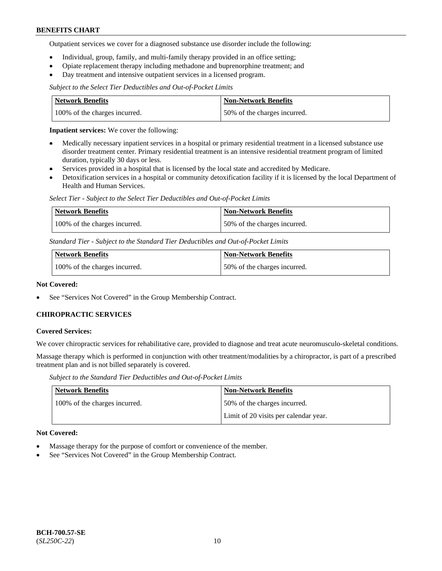Outpatient services we cover for a diagnosed substance use disorder include the following:

- Individual, group, family, and multi-family therapy provided in an office setting;
- Opiate replacement therapy including methadone and buprenorphine treatment; and
- Day treatment and intensive outpatient services in a licensed program.

*Subject to the Select Tier Deductibles and Out-of-Pocket Limits*

| Network Benefits              | <b>Non-Network Benefits</b>  |
|-------------------------------|------------------------------|
| 100% of the charges incurred. | 50% of the charges incurred. |

**Inpatient services:** We cover the following:

- Medically necessary inpatient services in a hospital or primary residential treatment in a licensed substance use disorder treatment center. Primary residential treatment is an intensive residential treatment program of limited duration, typically 30 days or less.
- Services provided in a hospital that is licensed by the local state and accredited by Medicare.
- Detoxification services in a hospital or community detoxification facility if it is licensed by the local Department of Health and Human Services.

*Select Tier - Subject to the Select Tier Deductibles and Out-of-Pocket Limits*

| Network Benefits              | Non-Network Benefits         |
|-------------------------------|------------------------------|
| 100% of the charges incurred. | 50% of the charges incurred. |

*Standard Tier - Subject to the Standard Tier Deductibles and Out-of-Pocket Limits*

| <b>Network Benefits</b>       | <b>Non-Network Benefits</b>  |
|-------------------------------|------------------------------|
| 100% of the charges incurred. | 50% of the charges incurred. |

#### **Not Covered:**

See "Services Not Covered" in the Group Membership Contract.

### **CHIROPRACTIC SERVICES**

#### **Covered Services:**

We cover chiropractic services for rehabilitative care, provided to diagnose and treat acute neuromusculo-skeletal conditions.

Massage therapy which is performed in conjunction with other treatment/modalities by a chiropractor, is part of a prescribed treatment plan and is not billed separately is covered.

*Subject to the Standard Tier Deductibles and Out-of-Pocket Limits*

| <b>Network Benefits</b>       | <b>Non-Network Benefits</b>           |
|-------------------------------|---------------------------------------|
| 100% of the charges incurred. | 50% of the charges incurred.          |
|                               | Limit of 20 visits per calendar year. |

### **Not Covered:**

- Massage therapy for the purpose of comfort or convenience of the member.
- See "Services Not Covered" in the Group Membership Contract.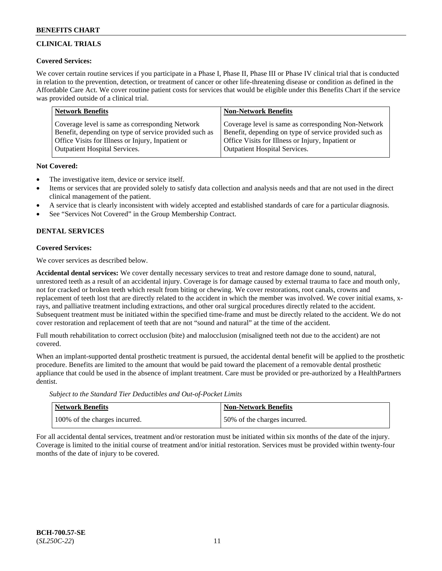# **CLINICAL TRIALS**

### **Covered Services:**

We cover certain routine services if you participate in a Phase I, Phase II, Phase III or Phase IV clinical trial that is conducted in relation to the prevention, detection, or treatment of cancer or other life-threatening disease or condition as defined in the Affordable Care Act. We cover routine patient costs for services that would be eligible under this Benefits Chart if the service was provided outside of a clinical trial.

| <b>Network Benefits</b>                                | <b>Non-Network Benefits</b>                            |
|--------------------------------------------------------|--------------------------------------------------------|
| Coverage level is same as corresponding Network        | Coverage level is same as corresponding Non-Network    |
| Benefit, depending on type of service provided such as | Benefit, depending on type of service provided such as |
| Office Visits for Illness or Injury, Inpatient or      | Office Visits for Illness or Injury, Inpatient or      |
| <b>Outpatient Hospital Services.</b>                   | <b>Outpatient Hospital Services.</b>                   |

### **Not Covered:**

- The investigative item, device or service itself.
- Items or services that are provided solely to satisfy data collection and analysis needs and that are not used in the direct clinical management of the patient.
- A service that is clearly inconsistent with widely accepted and established standards of care for a particular diagnosis.
- See "Services Not Covered" in the Group Membership Contract.

# **DENTAL SERVICES**

# **Covered Services:**

We cover services as described below.

**Accidental dental services:** We cover dentally necessary services to treat and restore damage done to sound, natural, unrestored teeth as a result of an accidental injury. Coverage is for damage caused by external trauma to face and mouth only, not for cracked or broken teeth which result from biting or chewing. We cover restorations, root canals, crowns and replacement of teeth lost that are directly related to the accident in which the member was involved. We cover initial exams, xrays, and palliative treatment including extractions, and other oral surgical procedures directly related to the accident. Subsequent treatment must be initiated within the specified time-frame and must be directly related to the accident. We do not cover restoration and replacement of teeth that are not "sound and natural" at the time of the accident.

Full mouth rehabilitation to correct occlusion (bite) and malocclusion (misaligned teeth not due to the accident) are not covered.

When an implant-supported dental prosthetic treatment is pursued, the accidental dental benefit will be applied to the prosthetic procedure. Benefits are limited to the amount that would be paid toward the placement of a removable dental prosthetic appliance that could be used in the absence of implant treatment. Care must be provided or pre-authorized by a HealthPartners dentist.

*Subject to the Standard Tier Deductibles and Out-of-Pocket Limits*

| <b>Network Benefits</b>       | <b>Non-Network Benefits</b>  |
|-------------------------------|------------------------------|
| 100% of the charges incurred. | 50% of the charges incurred. |

For all accidental dental services, treatment and/or restoration must be initiated within six months of the date of the injury. Coverage is limited to the initial course of treatment and/or initial restoration. Services must be provided within twenty-four months of the date of injury to be covered.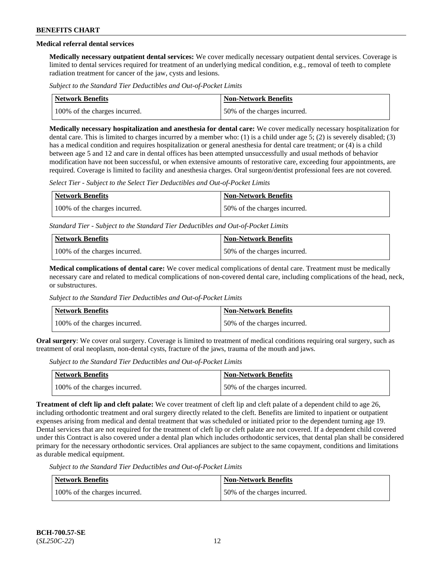# **Medical referral dental services**

**Medically necessary outpatient dental services:** We cover medically necessary outpatient dental services. Coverage is limited to dental services required for treatment of an underlying medical condition, e.g., removal of teeth to complete radiation treatment for cancer of the jaw, cysts and lesions.

*Subject to the Standard Tier Deductibles and Out-of-Pocket Limits*

| Network Benefits              | Non-Network Benefits         |
|-------------------------------|------------------------------|
| 100% of the charges incurred. | 50% of the charges incurred. |

**Medically necessary hospitalization and anesthesia for dental care:** We cover medically necessary hospitalization for dental care. This is limited to charges incurred by a member who: (1) is a child under age 5; (2) is severely disabled; (3) has a medical condition and requires hospitalization or general anesthesia for dental care treatment; or (4) is a child between age 5 and 12 and care in dental offices has been attempted unsuccessfully and usual methods of behavior modification have not been successful, or when extensive amounts of restorative care, exceeding four appointments, are required. Coverage is limited to facility and anesthesia charges. Oral surgeon/dentist professional fees are not covered.

*Select Tier - Subject to the Select Tier Deductibles and Out-of-Pocket Limits*

| Network Benefits              | <b>Non-Network Benefits</b>  |
|-------------------------------|------------------------------|
| 100% of the charges incurred. | 50% of the charges incurred. |

*Standard Tier - Subject to the Standard Tier Deductibles and Out-of-Pocket Limits*

| <b>Network Benefits</b>       | <b>Non-Network Benefits</b>  |
|-------------------------------|------------------------------|
| 100% of the charges incurred. | 50% of the charges incurred. |

**Medical complications of dental care:** We cover medical complications of dental care. Treatment must be medically necessary care and related to medical complications of non-covered dental care, including complications of the head, neck, or substructures.

*Subject to the Standard Tier Deductibles and Out-of-Pocket Limits*

| Network Benefits              | Non-Network Benefits         |
|-------------------------------|------------------------------|
| 100% of the charges incurred. | 50% of the charges incurred. |

**Oral surgery**: We cover oral surgery. Coverage is limited to treatment of medical conditions requiring oral surgery, such as treatment of oral neoplasm, non-dental cysts, fracture of the jaws, trauma of the mouth and jaws.

*Subject to the Standard Tier Deductibles and Out-of-Pocket Limits*

| <b>Network Benefits</b>       | <b>Non-Network Benefits</b>  |
|-------------------------------|------------------------------|
| 100% of the charges incurred. | 50% of the charges incurred. |

**Treatment of cleft lip and cleft palate:** We cover treatment of cleft lip and cleft palate of a dependent child to age 26, including orthodontic treatment and oral surgery directly related to the cleft. Benefits are limited to inpatient or outpatient expenses arising from medical and dental treatment that was scheduled or initiated prior to the dependent turning age 19. Dental services that are not required for the treatment of cleft lip or cleft palate are not covered. If a dependent child covered under this Contract is also covered under a dental plan which includes orthodontic services, that dental plan shall be considered primary for the necessary orthodontic services. Oral appliances are subject to the same copayment, conditions and limitations as durable medical equipment.

*Subject to the Standard Tier Deductibles and Out-of-Pocket Limits*

| Network Benefits              | <b>Non-Network Benefits</b>  |
|-------------------------------|------------------------------|
| 100% of the charges incurred. | 50% of the charges incurred. |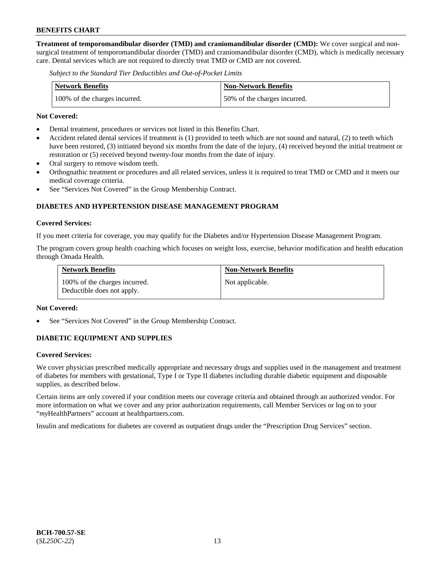**Treatment of temporomandibular disorder (TMD) and craniomandibular disorder (CMD):** We cover surgical and nonsurgical treatment of temporomandibular disorder (TMD) and craniomandibular disorder (CMD), which is medically necessary care. Dental services which are not required to directly treat TMD or CMD are not covered.

*Subject to the Standard Tier Deductibles and Out-of-Pocket Limits*

| <b>Network Benefits</b>       | <b>Non-Network Benefits</b>  |
|-------------------------------|------------------------------|
| 100% of the charges incurred. | 50% of the charges incurred. |

#### **Not Covered:**

- Dental treatment, procedures or services not listed in this Benefits Chart.
- Accident related dental services if treatment is (1) provided to teeth which are not sound and natural, (2) to teeth which have been restored, (3) initiated beyond six months from the date of the injury, (4) received beyond the initial treatment or restoration or (5) received beyond twenty-four months from the date of injury.
- Oral surgery to remove wisdom teeth.
- Orthognathic treatment or procedures and all related services, unless it is required to treat TMD or CMD and it meets our medical coverage criteria.
- See "Services Not Covered" in the Group Membership Contract.

# **DIABETES AND HYPERTENSION DISEASE MANAGEMENT PROGRAM**

#### **Covered Services:**

If you meet criteria for coverage, you may qualify for the Diabetes and/or Hypertension Disease Management Program.

The program covers group health coaching which focuses on weight loss, exercise, behavior modification and health education through Omada Health.

| <b>Network Benefits</b>                                     | <b>Non-Network Benefits</b> |
|-------------------------------------------------------------|-----------------------------|
| 100% of the charges incurred.<br>Deductible does not apply. | Not applicable.             |

#### **Not Covered:**

See "Services Not Covered" in the Group Membership Contract.

### **DIABETIC EQUIPMENT AND SUPPLIES**

### **Covered Services:**

We cover physician prescribed medically appropriate and necessary drugs and supplies used in the management and treatment of diabetes for members with gestational, Type I or Type II diabetes including durable diabetic equipment and disposable supplies, as described below.

Certain items are only covered if your condition meets our coverage criteria and obtained through an authorized vendor. For more information on what we cover and any prior authorization requirements, call Member Services or log on to your "*my*HealthPartners" account at [healthpartners.com.](http://www.healthpartners.com/)

Insulin and medications for diabetes are covered as outpatient drugs under the "Prescription Drug Services" section.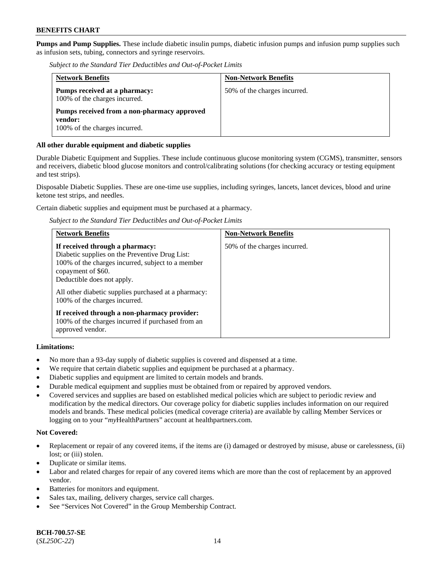**Pumps and Pump Supplies.** These include diabetic insulin pumps, diabetic infusion pumps and infusion pump supplies such as infusion sets, tubing, connectors and syringe reservoirs.

*Subject to the Standard Tier Deductibles and Out-of-Pocket Limits*

| <b>Network Benefits</b>                                                                 | <b>Non-Network Benefits</b>  |
|-----------------------------------------------------------------------------------------|------------------------------|
| Pumps received at a pharmacy:<br>100% of the charges incurred.                          | 50% of the charges incurred. |
| Pumps received from a non-pharmacy approved<br>vendor:<br>100% of the charges incurred. |                              |

### **All other durable equipment and diabetic supplies**

Durable Diabetic Equipment and Supplies. These include continuous glucose monitoring system (CGMS), transmitter, sensors and receivers, diabetic blood glucose monitors and control/calibrating solutions (for checking accuracy or testing equipment and test strips).

Disposable Diabetic Supplies. These are one-time use supplies, including syringes, lancets, lancet devices, blood and urine ketone test strips, and needles.

Certain diabetic supplies and equipment must be purchased at a pharmacy.

*Subject to the Standard Tier Deductibles and Out-of-Pocket Limits*

| <b>Network Benefits</b>                                                                                                                                                                                                                                                             | <b>Non-Network Benefits</b>  |
|-------------------------------------------------------------------------------------------------------------------------------------------------------------------------------------------------------------------------------------------------------------------------------------|------------------------------|
| If received through a pharmacy:<br>Diabetic supplies on the Preventive Drug List:<br>100% of the charges incurred, subject to a member<br>copayment of \$60.<br>Deductible does not apply.<br>All other diabetic supplies purchased at a pharmacy:<br>100% of the charges incurred. | 50% of the charges incurred. |
| If received through a non-pharmacy provider:<br>100% of the charges incurred if purchased from an<br>approved vendor.                                                                                                                                                               |                              |

### **Limitations:**

- No more than a 93-day supply of diabetic supplies is covered and dispensed at a time.
- We require that certain diabetic supplies and equipment be purchased at a pharmacy.
- Diabetic supplies and equipment are limited to certain models and brands.
- Durable medical equipment and supplies must be obtained from or repaired by approved vendors.
- Covered services and supplies are based on established medical policies which are subject to periodic review and modification by the medical directors. Our coverage policy for diabetic supplies includes information on our required models and brands. These medical policies (medical coverage criteria) are available by calling Member Services or logging on to your "*my*HealthPartners" account at [healthpartners.com.](http://www.healthpartners.com/)

### **Not Covered:**

- Replacement or repair of any covered items, if the items are (i) damaged or destroyed by misuse, abuse or carelessness, (ii) lost; or (iii) stolen.
- Duplicate or similar items.
- Labor and related charges for repair of any covered items which are more than the cost of replacement by an approved vendor.
- Batteries for monitors and equipment.
- Sales tax, mailing, delivery charges, service call charges.
- See "Services Not Covered" in the Group Membership Contract.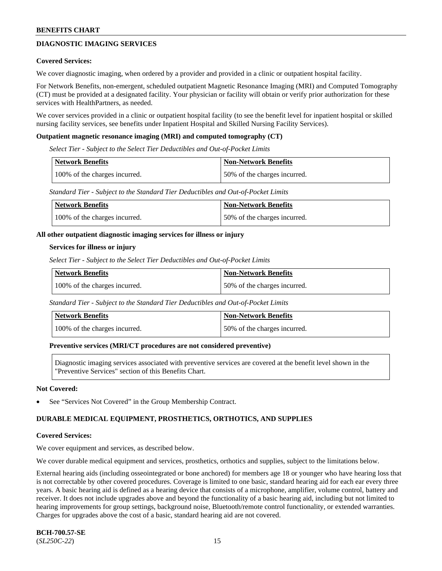# **DIAGNOSTIC IMAGING SERVICES**

#### **Covered Services:**

We cover diagnostic imaging, when ordered by a provider and provided in a clinic or outpatient hospital facility.

For Network Benefits, non-emergent, scheduled outpatient Magnetic Resonance Imaging (MRI) and Computed Tomography (CT) must be provided at a designated facility. Your physician or facility will obtain or verify prior authorization for these services with HealthPartners, as needed.

We cover services provided in a clinic or outpatient hospital facility (to see the benefit level for inpatient hospital or skilled nursing facility services, see benefits under Inpatient Hospital and Skilled Nursing Facility Services).

#### **Outpatient magnetic resonance imaging (MRI) and computed tomography (CT)**

*Select Tier - Subject to the Select Tier Deductibles and Out-of-Pocket Limits*

| Network Benefits              | <b>Non-Network Benefits</b>  |
|-------------------------------|------------------------------|
| 100% of the charges incurred. | 50% of the charges incurred. |

*Standard Tier - Subject to the Standard Tier Deductibles and Out-of-Pocket Limits*

| Network Benefits              | <b>Non-Network Benefits</b>  |
|-------------------------------|------------------------------|
| 100% of the charges incurred. | 50% of the charges incurred. |

#### **All other outpatient diagnostic imaging services for illness or injury**

#### **Services for illness or injury**

*Select Tier - Subject to the Select Tier Deductibles and Out-of-Pocket Limits*

| <b>Network Benefits</b>       | <b>Non-Network Benefits</b>  |
|-------------------------------|------------------------------|
| 100% of the charges incurred. | 50% of the charges incurred. |

*Standard Tier - Subject to the Standard Tier Deductibles and Out-of-Pocket Limits*

| <b>Network Benefits</b>       | <b>Non-Network Benefits</b>  |
|-------------------------------|------------------------------|
| 100% of the charges incurred. | 50% of the charges incurred. |

#### **Preventive services (MRI/CT procedures are not considered preventive)**

Diagnostic imaging services associated with preventive services are covered at the benefit level shown in the "Preventive Services" section of this Benefits Chart.

#### **Not Covered:**

See "Services Not Covered" in the Group Membership Contract.

### **DURABLE MEDICAL EQUIPMENT, PROSTHETICS, ORTHOTICS, AND SUPPLIES**

#### **Covered Services:**

We cover equipment and services, as described below.

We cover durable medical equipment and services, prosthetics, orthotics and supplies, subject to the limitations below.

External hearing aids (including osseointegrated or bone anchored) for members age 18 or younger who have hearing loss that is not correctable by other covered procedures. Coverage is limited to one basic, standard hearing aid for each ear every three years. A basic hearing aid is defined as a hearing device that consists of a microphone, amplifier, volume control, battery and receiver. It does not include upgrades above and beyond the functionality of a basic hearing aid, including but not limited to hearing improvements for group settings, background noise, Bluetooth/remote control functionality, or extended warranties. Charges for upgrades above the cost of a basic, standard hearing aid are not covered.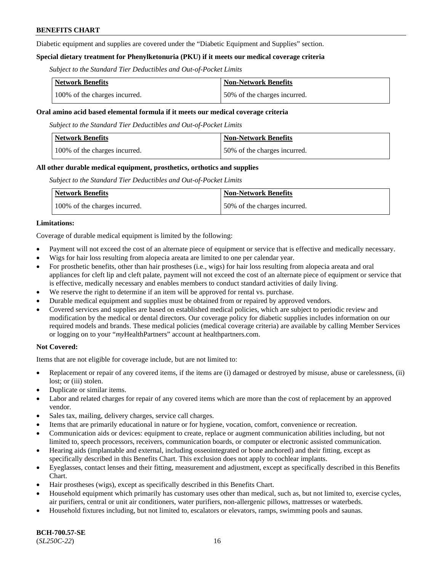Diabetic equipment and supplies are covered under the "Diabetic Equipment and Supplies" section.

### **Special dietary treatment for Phenylketonuria (PKU) if it meets our medical coverage criteria**

*Subject to the Standard Tier Deductibles and Out-of-Pocket Limits*

| <b>Network Benefits</b>       | <b>Non-Network Benefits</b>  |
|-------------------------------|------------------------------|
| 100% of the charges incurred. | 50% of the charges incurred. |

#### **Oral amino acid based elemental formula if it meets our medical coverage criteria**

*Subject to the Standard Tier Deductibles and Out-of-Pocket Limits*

| <b>Network Benefits</b>       | <b>Non-Network Benefits</b>  |
|-------------------------------|------------------------------|
| 100% of the charges incurred. | 50% of the charges incurred. |

#### **All other durable medical equipment, prosthetics, orthotics and supplies**

*Subject to the Standard Tier Deductibles and Out-of-Pocket Limits*

| <b>Network Benefits</b>       | Non-Network Benefits         |
|-------------------------------|------------------------------|
| 100% of the charges incurred. | 50% of the charges incurred. |

#### **Limitations:**

Coverage of durable medical equipment is limited by the following:

- Payment will not exceed the cost of an alternate piece of equipment or service that is effective and medically necessary.
- Wigs for hair loss resulting from alopecia areata are limited to one per calendar year.
- For prosthetic benefits, other than hair prostheses (i.e., wigs) for hair loss resulting from alopecia areata and oral appliances for cleft lip and cleft palate, payment will not exceed the cost of an alternate piece of equipment or service that is effective, medically necessary and enables members to conduct standard activities of daily living.
- We reserve the right to determine if an item will be approved for rental vs. purchase.
- Durable medical equipment and supplies must be obtained from or repaired by approved vendors.
- Covered services and supplies are based on established medical policies, which are subject to periodic review and modification by the medical or dental directors. Our coverage policy for diabetic supplies includes information on our required models and brands. These medical policies (medical coverage criteria) are available by calling Member Services or logging on to your "*my*HealthPartners" account a[t healthpartners.com.](https://www.healthpartners.com/hp/index.html)

### **Not Covered:**

Items that are not eligible for coverage include, but are not limited to:

- Replacement or repair of any covered items, if the items are (i) damaged or destroyed by misuse, abuse or carelessness, (ii) lost; or (iii) stolen.
- Duplicate or similar items.
- Labor and related charges for repair of any covered items which are more than the cost of replacement by an approved vendor.
- Sales tax, mailing, delivery charges, service call charges.
- Items that are primarily educational in nature or for hygiene, vocation, comfort, convenience or recreation.
- Communication aids or devices: equipment to create, replace or augment communication abilities including, but not limited to, speech processors, receivers, communication boards, or computer or electronic assisted communication.
- Hearing aids (implantable and external, including osseointegrated or bone anchored) and their fitting, except as specifically described in this Benefits Chart. This exclusion does not apply to cochlear implants.
- Eyeglasses, contact lenses and their fitting, measurement and adjustment, except as specifically described in this Benefits Chart.
- Hair prostheses (wigs), except as specifically described in this Benefits Chart.
- Household equipment which primarily has customary uses other than medical, such as, but not limited to, exercise cycles, air purifiers, central or unit air conditioners, water purifiers, non-allergenic pillows, mattresses or waterbeds.
- Household fixtures including, but not limited to, escalators or elevators, ramps, swimming pools and saunas.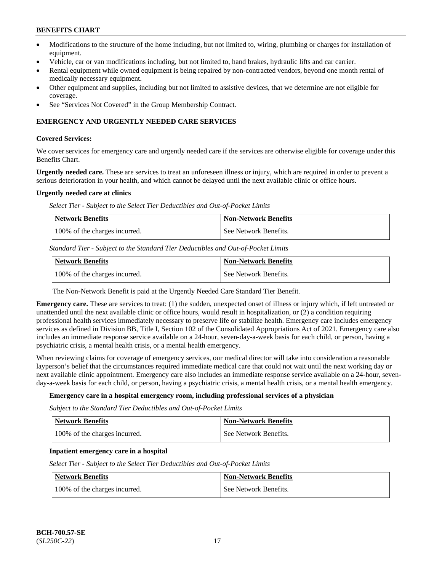- Modifications to the structure of the home including, but not limited to, wiring, plumbing or charges for installation of equipment.
- Vehicle, car or van modifications including, but not limited to, hand brakes, hydraulic lifts and car carrier.
- Rental equipment while owned equipment is being repaired by non-contracted vendors, beyond one month rental of medically necessary equipment.
- Other equipment and supplies, including but not limited to assistive devices, that we determine are not eligible for coverage.
- See "Services Not Covered" in the Group Membership Contract.

### **EMERGENCY AND URGENTLY NEEDED CARE SERVICES**

#### **Covered Services:**

We cover services for emergency care and urgently needed care if the services are otherwise eligible for coverage under this Benefits Chart.

**Urgently needed care.** These are services to treat an unforeseen illness or injury, which are required in order to prevent a serious deterioration in your health, and which cannot be delayed until the next available clinic or office hours.

#### **Urgently needed care at clinics**

*Select Tier - Subject to the Select Tier Deductibles and Out-of-Pocket Limits*

| Network Benefits              | <b>Non-Network Benefits</b> |
|-------------------------------|-----------------------------|
| 100% of the charges incurred. | l See Network Benefits.     |

*Standard Tier - Subject to the Standard Tier Deductibles and Out-of-Pocket Limits*

| Network Benefits              | <b>Non-Network Benefits</b> |
|-------------------------------|-----------------------------|
| 100% of the charges incurred. | See Network Benefits.       |

The Non-Network Benefit is paid at the Urgently Needed Care Standard Tier Benefit.

**Emergency care.** These are services to treat: (1) the sudden, unexpected onset of illness or injury which, if left untreated or unattended until the next available clinic or office hours, would result in hospitalization, or (2) a condition requiring professional health services immediately necessary to preserve life or stabilize health. Emergency care includes emergency services as defined in Division BB, Title I, Section 102 of the Consolidated Appropriations Act of 2021. Emergency care also includes an immediate response service available on a 24-hour, seven-day-a-week basis for each child, or person, having a psychiatric crisis, a mental health crisis, or a mental health emergency.

When reviewing claims for coverage of emergency services, our medical director will take into consideration a reasonable layperson's belief that the circumstances required immediate medical care that could not wait until the next working day or next available clinic appointment. Emergency care also includes an immediate response service available on a 24-hour, sevenday-a-week basis for each child, or person, having a psychiatric crisis, a mental health crisis, or a mental health emergency.

### **Emergency care in a hospital emergency room, including professional services of a physician**

*Subject to the Standard Tier Deductibles and Out-of-Pocket Limits*

| <b>Network Benefits</b>       | <b>Non-Network Benefits</b> |
|-------------------------------|-----------------------------|
| 100% of the charges incurred. | See Network Benefits.       |

### **Inpatient emergency care in a hospital**

*Select Tier - Subject to the Select Tier Deductibles and Out-of-Pocket Limits*

| Network Benefits              | <b>Non-Network Benefits</b> |
|-------------------------------|-----------------------------|
| 100% of the charges incurred. | See Network Benefits.       |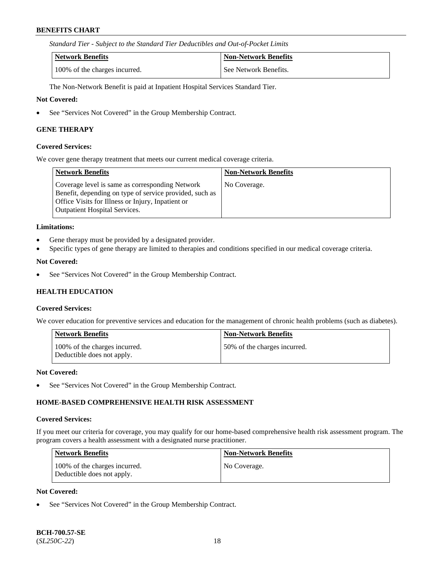*Standard Tier - Subject to the Standard Tier Deductibles and Out-of-Pocket Limits*

| Network Benefits              | <b>Non-Network Benefits</b> |
|-------------------------------|-----------------------------|
| 100% of the charges incurred. | See Network Benefits.       |

The Non-Network Benefit is paid at Inpatient Hospital Services Standard Tier.

#### **Not Covered:**

• See "Services Not Covered" in the Group Membership Contract.

#### **GENE THERAPY**

#### **Covered Services:**

We cover gene therapy treatment that meets our current medical coverage criteria.

| Network Benefits                                                                                                                                                                                        | <b>Non-Network Benefits</b> |
|---------------------------------------------------------------------------------------------------------------------------------------------------------------------------------------------------------|-----------------------------|
| Coverage level is same as corresponding Network<br>Benefit, depending on type of service provided, such as<br>Office Visits for Illness or Injury, Inpatient or<br><b>Outpatient Hospital Services.</b> | No Coverage.                |

#### **Limitations:**

- Gene therapy must be provided by a designated provider.
- Specific types of gene therapy are limited to therapies and conditions specified in our medical coverage criteria.

### **Not Covered:**

• See "Services Not Covered" in the Group Membership Contract.

### **HEALTH EDUCATION**

#### **Covered Services:**

We cover education for preventive services and education for the management of chronic health problems (such as diabetes).

| <b>Network Benefits</b>                                     | <b>Non-Network Benefits</b>  |
|-------------------------------------------------------------|------------------------------|
| 100% of the charges incurred.<br>Deductible does not apply. | 50% of the charges incurred. |

#### **Not Covered:**

See "Services Not Covered" in the Group Membership Contract.

### **HOME-BASED COMPREHENSIVE HEALTH RISK ASSESSMENT**

#### **Covered Services:**

If you meet our criteria for coverage, you may qualify for our home-based comprehensive health risk assessment program. The program covers a health assessment with a designated nurse practitioner.

| <b>Network Benefits</b>                                     | <b>Non-Network Benefits</b> |
|-------------------------------------------------------------|-----------------------------|
| 100% of the charges incurred.<br>Deductible does not apply. | No Coverage.                |

#### **Not Covered:**

See "Services Not Covered" in the Group Membership Contract.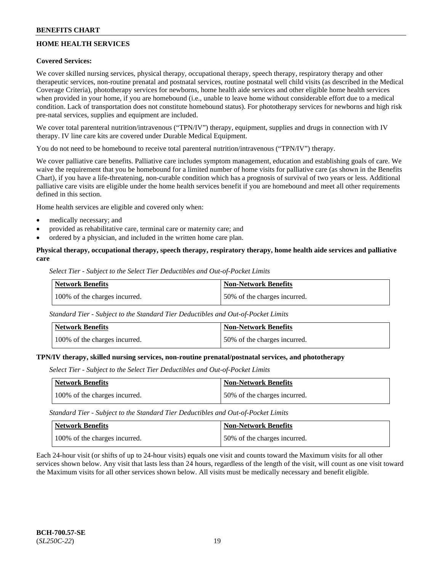# **HOME HEALTH SERVICES**

### **Covered Services:**

We cover skilled nursing services, physical therapy, occupational therapy, speech therapy, respiratory therapy and other therapeutic services, non-routine prenatal and postnatal services, routine postnatal well child visits (as described in the Medical Coverage Criteria), phototherapy services for newborns, home health aide services and other eligible home health services when provided in your home, if you are homebound (i.e., unable to leave home without considerable effort due to a medical condition. Lack of transportation does not constitute homebound status). For phototherapy services for newborns and high risk pre-natal services, supplies and equipment are included.

We cover total parenteral nutrition/intravenous ("TPN/IV") therapy, equipment, supplies and drugs in connection with IV therapy. IV line care kits are covered under Durable Medical Equipment.

You do not need to be homebound to receive total parenteral nutrition/intravenous ("TPN/IV") therapy.

We cover palliative care benefits. Palliative care includes symptom management, education and establishing goals of care. We waive the requirement that you be homebound for a limited number of home visits for palliative care (as shown in the Benefits Chart), if you have a life-threatening, non-curable condition which has a prognosis of survival of two years or less. Additional palliative care visits are eligible under the home health services benefit if you are homebound and meet all other requirements defined in this section.

Home health services are eligible and covered only when:

- medically necessary; and
- provided as rehabilitative care, terminal care or maternity care; and
- ordered by a physician, and included in the written home care plan.

### **Physical therapy, occupational therapy, speech therapy, respiratory therapy, home health aide services and palliative care**

*Select Tier - Subject to the Select Tier Deductibles and Out-of-Pocket Limits*

| Network Benefits              | <b>Non-Network Benefits</b>  |
|-------------------------------|------------------------------|
| 100% of the charges incurred. | 50% of the charges incurred. |

*Standard Tier - Subject to the Standard Tier Deductibles and Out-of-Pocket Limits*

| <b>Network Benefits</b>       | Non-Network Benefits         |
|-------------------------------|------------------------------|
| 100% of the charges incurred. | 50% of the charges incurred. |

#### **TPN/IV therapy, skilled nursing services, non-routine prenatal/postnatal services, and phototherapy**

*Select Tier - Subject to the Select Tier Deductibles and Out-of-Pocket Limits*

| Network Benefits              | <b>Non-Network Benefits</b>  |
|-------------------------------|------------------------------|
| 100% of the charges incurred. | 50% of the charges incurred. |

*Standard Tier - Subject to the Standard Tier Deductibles and Out-of-Pocket Limits*

| Network Benefits              | <b>Non-Network Benefits</b>  |
|-------------------------------|------------------------------|
| 100% of the charges incurred. | 50% of the charges incurred. |

Each 24-hour visit (or shifts of up to 24-hour visits) equals one visit and counts toward the Maximum visits for all other services shown below. Any visit that lasts less than 24 hours, regardless of the length of the visit, will count as one visit toward the Maximum visits for all other services shown below. All visits must be medically necessary and benefit eligible.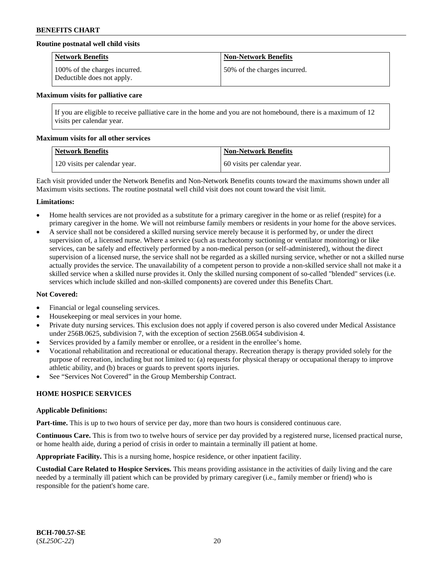### **Routine postnatal well child visits**

| <b>Network Benefits</b>                                     | <b>Non-Network Benefits</b>  |
|-------------------------------------------------------------|------------------------------|
| 100% of the charges incurred.<br>Deductible does not apply. | 50% of the charges incurred. |

#### **Maximum visits for palliative care**

If you are eligible to receive palliative care in the home and you are not homebound, there is a maximum of 12 visits per calendar year.

#### **Maximum visits for all other services**

| <b>Network Benefits</b>       | Non-Network Benefits         |
|-------------------------------|------------------------------|
| 120 visits per calendar year. | 60 visits per calendar year. |

Each visit provided under the Network Benefits and Non-Network Benefits counts toward the maximums shown under all Maximum visits sections. The routine postnatal well child visit does not count toward the visit limit.

#### **Limitations:**

- Home health services are not provided as a substitute for a primary caregiver in the home or as relief (respite) for a primary caregiver in the home. We will not reimburse family members or residents in your home for the above services.
- A service shall not be considered a skilled nursing service merely because it is performed by, or under the direct supervision of, a licensed nurse. Where a service (such as tracheotomy suctioning or ventilator monitoring) or like services, can be safely and effectively performed by a non-medical person (or self-administered), without the direct supervision of a licensed nurse, the service shall not be regarded as a skilled nursing service, whether or not a skilled nurse actually provides the service. The unavailability of a competent person to provide a non-skilled service shall not make it a skilled service when a skilled nurse provides it. Only the skilled nursing component of so-called "blended" services (i.e. services which include skilled and non-skilled components) are covered under this Benefits Chart.

### **Not Covered:**

- Financial or legal counseling services.
- Housekeeping or meal services in your home.
- Private duty nursing services. This exclusion does not apply if covered person is also covered under Medical Assistance under 256B.0625, subdivision 7, with the exception of section 256B.0654 subdivision 4.
- Services provided by a family member or enrollee, or a resident in the enrollee's home.
- Vocational rehabilitation and recreational or educational therapy. Recreation therapy is therapy provided solely for the purpose of recreation, including but not limited to: (a) requests for physical therapy or occupational therapy to improve athletic ability, and (b) braces or guards to prevent sports injuries.
- See "Services Not Covered" in the Group Membership Contract.

### **HOME HOSPICE SERVICES**

#### **Applicable Definitions:**

**Part-time.** This is up to two hours of service per day, more than two hours is considered continuous care.

**Continuous Care.** This is from two to twelve hours of service per day provided by a registered nurse, licensed practical nurse, or home health aide, during a period of crisis in order to maintain a terminally ill patient at home.

**Appropriate Facility.** This is a nursing home, hospice residence, or other inpatient facility.

**Custodial Care Related to Hospice Services.** This means providing assistance in the activities of daily living and the care needed by a terminally ill patient which can be provided by primary caregiver (i.e., family member or friend) who is responsible for the patient's home care.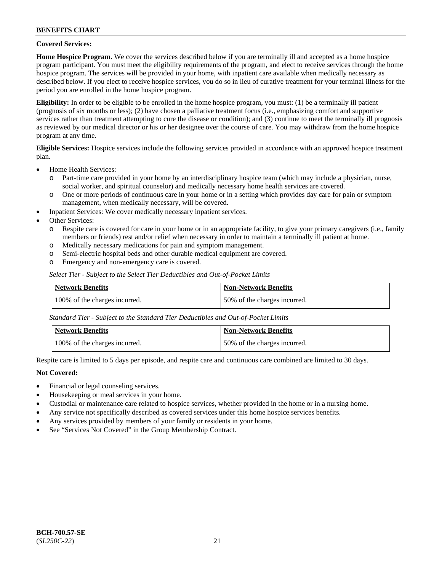### **Covered Services:**

**Home Hospice Program.** We cover the services described below if you are terminally ill and accepted as a home hospice program participant. You must meet the eligibility requirements of the program, and elect to receive services through the home hospice program. The services will be provided in your home, with inpatient care available when medically necessary as described below. If you elect to receive hospice services, you do so in lieu of curative treatment for your terminal illness for the period you are enrolled in the home hospice program.

**Eligibility:** In order to be eligible to be enrolled in the home hospice program, you must: (1) be a terminally ill patient (prognosis of six months or less); (2) have chosen a palliative treatment focus (i.e., emphasizing comfort and supportive services rather than treatment attempting to cure the disease or condition); and (3) continue to meet the terminally ill prognosis as reviewed by our medical director or his or her designee over the course of care. You may withdraw from the home hospice program at any time.

**Eligible Services:** Hospice services include the following services provided in accordance with an approved hospice treatment plan.

- Home Health Services:
	- o Part-time care provided in your home by an interdisciplinary hospice team (which may include a physician, nurse, social worker, and spiritual counselor) and medically necessary home health services are covered.
	- o One or more periods of continuous care in your home or in a setting which provides day care for pain or symptom management, when medically necessary, will be covered.
	- Inpatient Services: We cover medically necessary inpatient services.
- Other Services:
	- o Respite care is covered for care in your home or in an appropriate facility, to give your primary caregivers (i.e., family members or friends) rest and/or relief when necessary in order to maintain a terminally ill patient at home.
	- o Medically necessary medications for pain and symptom management.
	- Semi-electric hospital beds and other durable medical equipment are covered.
	- o Emergency and non-emergency care is covered.

*Select Tier - Subject to the Select Tier Deductibles and Out-of-Pocket Limits*

| Network Benefits              | Non-Network Benefits         |
|-------------------------------|------------------------------|
| 100% of the charges incurred. | 50% of the charges incurred. |

*Standard Tier - Subject to the Standard Tier Deductibles and Out-of-Pocket Limits*

| Network Benefits              | <b>Non-Network Benefits</b>  |
|-------------------------------|------------------------------|
| 100% of the charges incurred. | 50% of the charges incurred. |

Respite care is limited to 5 days per episode, and respite care and continuous care combined are limited to 30 days.

### **Not Covered:**

- Financial or legal counseling services.
- Housekeeping or meal services in your home.
- Custodial or maintenance care related to hospice services, whether provided in the home or in a nursing home.
- Any service not specifically described as covered services under this home hospice services benefits.
- Any services provided by members of your family or residents in your home.
- See "Services Not Covered" in the Group Membership Contract.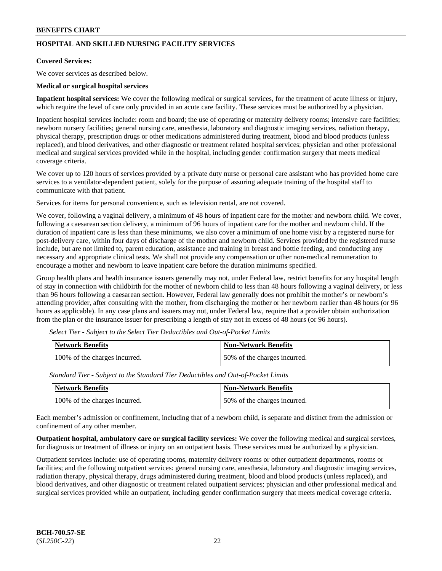# **HOSPITAL AND SKILLED NURSING FACILITY SERVICES**

#### **Covered Services:**

We cover services as described below.

#### **Medical or surgical hospital services**

**Inpatient hospital services:** We cover the following medical or surgical services, for the treatment of acute illness or injury, which require the level of care only provided in an acute care facility. These services must be authorized by a physician.

Inpatient hospital services include: room and board; the use of operating or maternity delivery rooms; intensive care facilities; newborn nursery facilities; general nursing care, anesthesia, laboratory and diagnostic imaging services, radiation therapy, physical therapy, prescription drugs or other medications administered during treatment, blood and blood products (unless replaced), and blood derivatives, and other diagnostic or treatment related hospital services; physician and other professional medical and surgical services provided while in the hospital, including gender confirmation surgery that meets medical coverage criteria.

We cover up to 120 hours of services provided by a private duty nurse or personal care assistant who has provided home care services to a ventilator-dependent patient, solely for the purpose of assuring adequate training of the hospital staff to communicate with that patient.

Services for items for personal convenience, such as television rental, are not covered.

We cover, following a vaginal delivery, a minimum of 48 hours of inpatient care for the mother and newborn child. We cover, following a caesarean section delivery, a minimum of 96 hours of inpatient care for the mother and newborn child. If the duration of inpatient care is less than these minimums, we also cover a minimum of one home visit by a registered nurse for post-delivery care, within four days of discharge of the mother and newborn child. Services provided by the registered nurse include, but are not limited to, parent education, assistance and training in breast and bottle feeding, and conducting any necessary and appropriate clinical tests. We shall not provide any compensation or other non-medical remuneration to encourage a mother and newborn to leave inpatient care before the duration minimums specified.

Group health plans and health insurance issuers generally may not, under Federal law, restrict benefits for any hospital length of stay in connection with childbirth for the mother of newborn child to less than 48 hours following a vaginal delivery, or less than 96 hours following a caesarean section. However, Federal law generally does not prohibit the mother's or newborn's attending provider, after consulting with the mother, from discharging the mother or her newborn earlier than 48 hours (or 96 hours as applicable). In any case plans and issuers may not, under Federal law, require that a provider obtain authorization from the plan or the insurance issuer for prescribing a length of stay not in excess of 48 hours (or 96 hours).

| Network Benefits              | <b>Non-Network Benefits</b>  |
|-------------------------------|------------------------------|
| 100% of the charges incurred. | 50% of the charges incurred. |

*Select Tier - Subject to the Select Tier Deductibles and Out-of-Pocket Limits*

*Standard Tier - Subject to the Standard Tier Deductibles and Out-of-Pocket Limits*

| Network Benefits              | <b>Non-Network Benefits</b>  |
|-------------------------------|------------------------------|
| 100% of the charges incurred. | 50% of the charges incurred. |

Each member's admission or confinement, including that of a newborn child, is separate and distinct from the admission or confinement of any other member.

**Outpatient hospital, ambulatory care or surgical facility services:** We cover the following medical and surgical services, for diagnosis or treatment of illness or injury on an outpatient basis. These services must be authorized by a physician.

Outpatient services include: use of operating rooms, maternity delivery rooms or other outpatient departments, rooms or facilities; and the following outpatient services: general nursing care, anesthesia, laboratory and diagnostic imaging services, radiation therapy, physical therapy, drugs administered during treatment, blood and blood products (unless replaced), and blood derivatives, and other diagnostic or treatment related outpatient services; physician and other professional medical and surgical services provided while an outpatient, including gender confirmation surgery that meets medical coverage criteria.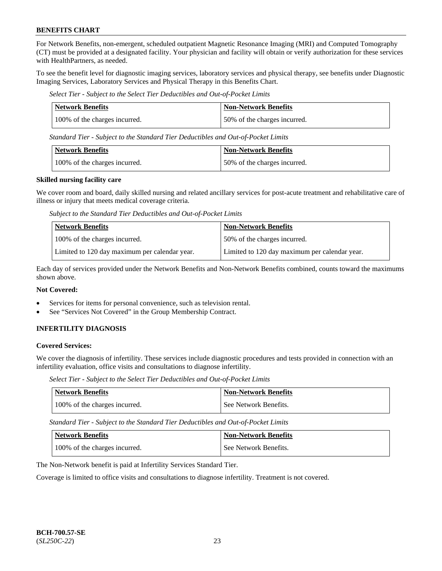For Network Benefits, non-emergent, scheduled outpatient Magnetic Resonance Imaging (MRI) and Computed Tomography (CT) must be provided at a designated facility. Your physician and facility will obtain or verify authorization for these services with HealthPartners, as needed.

To see the benefit level for diagnostic imaging services, laboratory services and physical therapy, see benefits under Diagnostic Imaging Services, Laboratory Services and Physical Therapy in this Benefits Chart.

*Select Tier - Subject to the Select Tier Deductibles and Out-of-Pocket Limits*

| <b>Network Benefits</b>       | <b>Non-Network Benefits</b>  |
|-------------------------------|------------------------------|
| 100% of the charges incurred. | 50% of the charges incurred. |

*Standard Tier - Subject to the Standard Tier Deductibles and Out-of-Pocket Limits*

| Network Benefits              | <b>Non-Network Benefits</b>  |
|-------------------------------|------------------------------|
| 100% of the charges incurred. | 50% of the charges incurred. |

#### **Skilled nursing facility care**

We cover room and board, daily skilled nursing and related ancillary services for post-acute treatment and rehabilitative care of illness or injury that meets medical coverage criteria.

*Subject to the Standard Tier Deductibles and Out-of-Pocket Limits*

| <b>Network Benefits</b>                       | <b>Non-Network Benefits</b>                   |
|-----------------------------------------------|-----------------------------------------------|
| 100% of the charges incurred.                 | 50% of the charges incurred.                  |
| Limited to 120 day maximum per calendar year. | Limited to 120 day maximum per calendar year. |

Each day of services provided under the Network Benefits and Non-Network Benefits combined, counts toward the maximums shown above.

### **Not Covered:**

- Services for items for personal convenience, such as television rental.
- See "Services Not Covered" in the Group Membership Contract.

# **INFERTILITY DIAGNOSIS**

### **Covered Services:**

We cover the diagnosis of infertility. These services include diagnostic procedures and tests provided in connection with an infertility evaluation, office visits and consultations to diagnose infertility.

*Select Tier - Subject to the Select Tier Deductibles and Out-of-Pocket Limits*

| <b>Network Benefits</b>       | <b>Non-Network Benefits</b> |
|-------------------------------|-----------------------------|
| 100% of the charges incurred. | See Network Benefits.       |

*Standard Tier - Subject to the Standard Tier Deductibles and Out-of-Pocket Limits*

| Network Benefits              | Non-Network Benefits  |
|-------------------------------|-----------------------|
| 100% of the charges incurred. | See Network Benefits. |

The Non-Network benefit is paid at Infertility Services Standard Tier.

Coverage is limited to office visits and consultations to diagnose infertility. Treatment is not covered.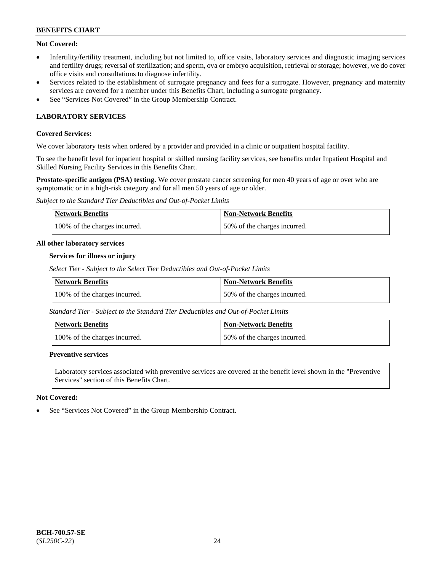# **Not Covered:**

- Infertility/fertility treatment, including but not limited to, office visits, laboratory services and diagnostic imaging services and fertility drugs; reversal of sterilization; and sperm, ova or embryo acquisition, retrieval or storage; however, we do cover office visits and consultations to diagnose infertility.
- Services related to the establishment of surrogate pregnancy and fees for a surrogate. However, pregnancy and maternity services are covered for a member under this Benefits Chart, including a surrogate pregnancy.
- See "Services Not Covered" in the Group Membership Contract.

# **LABORATORY SERVICES**

### **Covered Services:**

We cover laboratory tests when ordered by a provider and provided in a clinic or outpatient hospital facility.

To see the benefit level for inpatient hospital or skilled nursing facility services, see benefits under Inpatient Hospital and Skilled Nursing Facility Services in this Benefits Chart.

**Prostate-specific antigen (PSA) testing.** We cover prostate cancer screening for men 40 years of age or over who are symptomatic or in a high-risk category and for all men 50 years of age or older.

*Subject to the Standard Tier Deductibles and Out-of-Pocket Limits*

| <b>Network Benefits</b>       | <b>Non-Network Benefits</b>  |
|-------------------------------|------------------------------|
| 100% of the charges incurred. | 50% of the charges incurred. |

#### **All other laboratory services**

#### **Services for illness or injury**

*Select Tier - Subject to the Select Tier Deductibles and Out-of-Pocket Limits*

| <b>Network Benefits</b>       | <b>Non-Network Benefits</b>  |
|-------------------------------|------------------------------|
| 100% of the charges incurred. | 50% of the charges incurred. |

*Standard Tier - Subject to the Standard Tier Deductibles and Out-of-Pocket Limits*

| Network Benefits              | <b>Non-Network Benefits</b>  |
|-------------------------------|------------------------------|
| 100% of the charges incurred. | 50% of the charges incurred. |

### **Preventive services**

Laboratory services associated with preventive services are covered at the benefit level shown in the "Preventive Services" section of this Benefits Chart.

### **Not Covered:**

See "Services Not Covered" in the Group Membership Contract.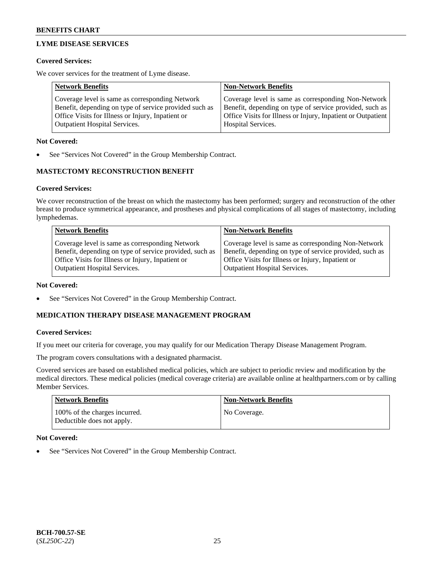# **LYME DISEASE SERVICES**

### **Covered Services:**

We cover services for the treatment of Lyme disease.

| <b>Network Benefits</b>                                | <b>Non-Network Benefits</b>                                  |
|--------------------------------------------------------|--------------------------------------------------------------|
| Coverage level is same as corresponding Network        | Coverage level is same as corresponding Non-Network          |
| Benefit, depending on type of service provided such as | Benefit, depending on type of service provided, such as      |
| Office Visits for Illness or Injury, Inpatient or      | Office Visits for Illness or Injury, Inpatient or Outpatient |
| <b>Outpatient Hospital Services.</b>                   | Hospital Services.                                           |

### **Not Covered:**

See "Services Not Covered" in the Group Membership Contract.

# **MASTECTOMY RECONSTRUCTION BENEFIT**

# **Covered Services:**

We cover reconstruction of the breast on which the mastectomy has been performed; surgery and reconstruction of the other breast to produce symmetrical appearance, and prostheses and physical complications of all stages of mastectomy, including lymphedemas.

| <b>Network Benefits</b>                                 | <b>Non-Network Benefits</b>                             |
|---------------------------------------------------------|---------------------------------------------------------|
| Coverage level is same as corresponding Network         | Coverage level is same as corresponding Non-Network     |
| Benefit, depending on type of service provided, such as | Benefit, depending on type of service provided, such as |
| Office Visits for Illness or Injury, Inpatient or       | Office Visits for Illness or Injury, Inpatient or       |
| <b>Outpatient Hospital Services.</b>                    | <b>Outpatient Hospital Services.</b>                    |

### **Not Covered:**

See "Services Not Covered" in the Group Membership Contract.

# **MEDICATION THERAPY DISEASE MANAGEMENT PROGRAM**

### **Covered Services:**

If you meet our criteria for coverage, you may qualify for our Medication Therapy Disease Management Program.

The program covers consultations with a designated pharmacist.

Covered services are based on established medical policies, which are subject to periodic review and modification by the medical directors. These medical policies (medical coverage criteria) are available online at [healthpartners.com](https://www.healthpartners.com/hp/index.html) or by calling Member Services.

| Network Benefits                                            | <b>Non-Network Benefits</b> |
|-------------------------------------------------------------|-----------------------------|
| 100% of the charges incurred.<br>Deductible does not apply. | No Coverage.                |

### **Not Covered:**

See "Services Not Covered" in the Group Membership Contract.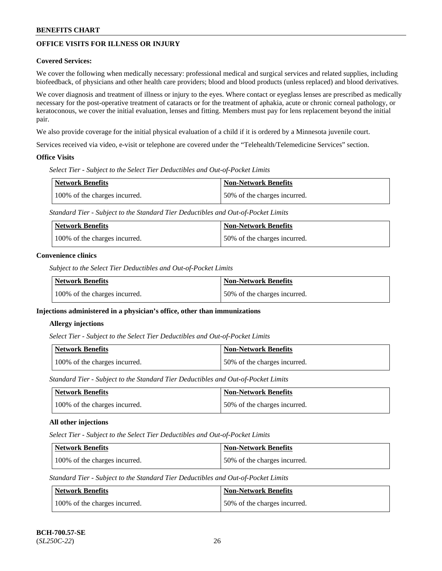# **OFFICE VISITS FOR ILLNESS OR INJURY**

### **Covered Services:**

We cover the following when medically necessary: professional medical and surgical services and related supplies, including biofeedback, of physicians and other health care providers; blood and blood products (unless replaced) and blood derivatives.

We cover diagnosis and treatment of illness or injury to the eyes. Where contact or eyeglass lenses are prescribed as medically necessary for the post-operative treatment of cataracts or for the treatment of aphakia, acute or chronic corneal pathology, or keratoconous, we cover the initial evaluation, lenses and fitting. Members must pay for lens replacement beyond the initial pair.

We also provide coverage for the initial physical evaluation of a child if it is ordered by a Minnesota juvenile court.

Services received via video, e-visit or telephone are covered under the "Telehealth/Telemedicine Services" section.

#### **Office Visits**

*Select Tier - Subject to the Select Tier Deductibles and Out-of-Pocket Limits*

| Network Benefits              | <b>Non-Network Benefits</b>  |
|-------------------------------|------------------------------|
| 100% of the charges incurred. | 50% of the charges incurred. |

*Standard Tier - Subject to the Standard Tier Deductibles and Out-of-Pocket Limits*

| <b>Network Benefits</b>       | <b>Non-Network Benefits</b>  |
|-------------------------------|------------------------------|
| 100% of the charges incurred. | 50% of the charges incurred. |

#### **Convenience clinics**

*Subject to the Select Tier Deductibles and Out-of-Pocket Limits*

| Network Benefits              | <b>Non-Network Benefits</b>  |
|-------------------------------|------------------------------|
| 100% of the charges incurred. | 50% of the charges incurred. |

### **Injections administered in a physician's office, other than immunizations**

#### **Allergy injections**

*Select Tier - Subject to the Select Tier Deductibles and Out-of-Pocket Limits*

| Network Benefits              | <b>Non-Network Benefits</b>  |
|-------------------------------|------------------------------|
| 100% of the charges incurred. | 50% of the charges incurred. |

*Standard Tier - Subject to the Standard Tier Deductibles and Out-of-Pocket Limits*

| Network Benefits              | <b>Non-Network Benefits</b>  |
|-------------------------------|------------------------------|
| 100% of the charges incurred. | 50% of the charges incurred. |

### **All other injections**

*Select Tier - Subject to the Select Tier Deductibles and Out-of-Pocket Limits*

| Network Benefits              | Non-Network Benefits         |
|-------------------------------|------------------------------|
| 100% of the charges incurred. | 50% of the charges incurred. |

*Standard Tier - Subject to the Standard Tier Deductibles and Out-of-Pocket Limits*

| Network Benefits              | <b>Non-Network Benefits</b>  |
|-------------------------------|------------------------------|
| 100% of the charges incurred. | 50% of the charges incurred. |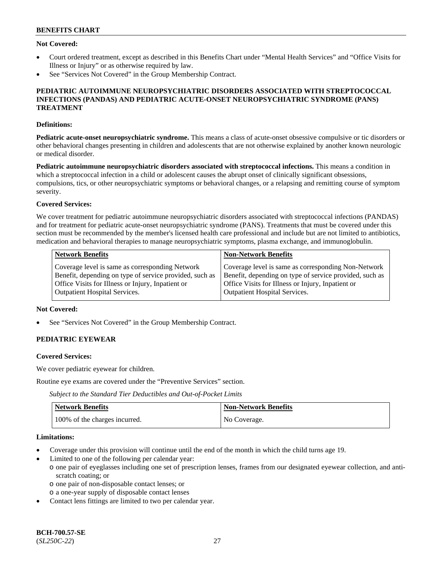### **Not Covered:**

- Court ordered treatment, except as described in this Benefits Chart under "Mental Health Services" and "Office Visits for Illness or Injury" or as otherwise required by law.
- See "Services Not Covered" in the Group Membership Contract.

#### **PEDIATRIC AUTOIMMUNE NEUROPSYCHIATRIC DISORDERS ASSOCIATED WITH STREPTOCOCCAL INFECTIONS (PANDAS) AND PEDIATRIC ACUTE-ONSET NEUROPSYCHIATRIC SYNDROME (PANS) TREATMENT**

#### **Definitions:**

**Pediatric acute-onset neuropsychiatric syndrome.** This means a class of acute-onset obsessive compulsive or tic disorders or other behavioral changes presenting in children and adolescents that are not otherwise explained by another known neurologic or medical disorder.

**Pediatric autoimmune neuropsychiatric disorders associated with streptococcal infections.** This means a condition in which a streptococcal infection in a child or adolescent causes the abrupt onset of clinically significant obsessions, compulsions, tics, or other neuropsychiatric symptoms or behavioral changes, or a relapsing and remitting course of symptom severity.

#### **Covered Services:**

We cover treatment for pediatric autoimmune neuropsychiatric disorders associated with streptococcal infections (PANDAS) and for treatment for pediatric acute-onset neuropsychiatric syndrome (PANS). Treatments that must be covered under this section must be recommended by the member's licensed health care professional and include but are not limited to antibiotics, medication and behavioral therapies to manage neuropsychiatric symptoms, plasma exchange, and immunoglobulin.

| <b>Network Benefits</b>                                 | <b>Non-Network Benefits</b>                             |
|---------------------------------------------------------|---------------------------------------------------------|
| Coverage level is same as corresponding Network         | Coverage level is same as corresponding Non-Network     |
| Benefit, depending on type of service provided, such as | Benefit, depending on type of service provided, such as |
| Office Visits for Illness or Injury, Inpatient or       | Office Visits for Illness or Injury, Inpatient or       |
| <b>Outpatient Hospital Services.</b>                    | <b>Outpatient Hospital Services.</b>                    |

#### **Not Covered:**

See "Services Not Covered" in the Group Membership Contract.

# **PEDIATRIC EYEWEAR**

#### **Covered Services:**

We cover pediatric eyewear for children.

Routine eye exams are covered under the "Preventive Services" section.

*Subject to the Standard Tier Deductibles and Out-of-Pocket Limits*

| Network Benefits              | <b>Non-Network Benefits</b> |
|-------------------------------|-----------------------------|
| 100% of the charges incurred. | No Coverage.                |

#### **Limitations:**

- Coverage under this provision will continue until the end of the month in which the child turns age 19.
- Limited to one of the following per calendar year:
- o one pair of eyeglasses including one set of prescription lenses, frames from our designated eyewear collection, and antiscratch coating; or
	- o one pair of non-disposable contact lenses; or
	- o a one-year supply of disposable contact lenses
- Contact lens fittings are limited to two per calendar year.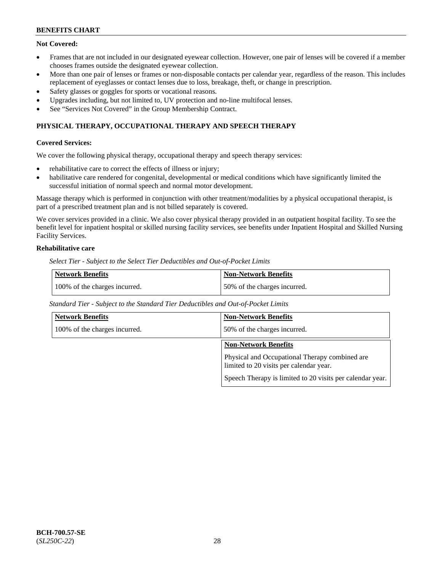# **Not Covered:**

- Frames that are not included in our designated eyewear collection. However, one pair of lenses will be covered if a member chooses frames outside the designated eyewear collection.
- More than one pair of lenses or frames or non-disposable contacts per calendar year, regardless of the reason. This includes replacement of eyeglasses or contact lenses due to loss, breakage, theft, or change in prescription.
- Safety glasses or goggles for sports or vocational reasons.
- Upgrades including, but not limited to, UV protection and no-line multifocal lenses.
- See "Services Not Covered" in the Group Membership Contract.

# **PHYSICAL THERAPY, OCCUPATIONAL THERAPY AND SPEECH THERAPY**

#### **Covered Services:**

We cover the following physical therapy, occupational therapy and speech therapy services:

- rehabilitative care to correct the effects of illness or injury;
- habilitative care rendered for congenital, developmental or medical conditions which have significantly limited the successful initiation of normal speech and normal motor development.

Massage therapy which is performed in conjunction with other treatment/modalities by a physical occupational therapist, is part of a prescribed treatment plan and is not billed separately is covered.

We cover services provided in a clinic. We also cover physical therapy provided in an outpatient hospital facility. To see the benefit level for inpatient hospital or skilled nursing facility services, see benefits under Inpatient Hospital and Skilled Nursing Facility Services.

# **Rehabilitative care**

*Select Tier - Subject to the Select Tier Deductibles and Out-of-Pocket Limits*

| Network Benefits              | <b>Non-Network Benefits</b>  |
|-------------------------------|------------------------------|
| 100% of the charges incurred. | 50% of the charges incurred. |

*Standard Tier - Subject to the Standard Tier Deductibles and Out-of-Pocket Limits*

| <b>Network Benefits</b>       | <b>Non-Network Benefits</b>                                                               |
|-------------------------------|-------------------------------------------------------------------------------------------|
| 100% of the charges incurred. | 50% of the charges incurred.                                                              |
|                               | <b>Non-Network Benefits</b>                                                               |
|                               | Physical and Occupational Therapy combined are<br>limited to 20 visits per calendar year. |
|                               | Speech Therapy is limited to 20 visits per calendar year.                                 |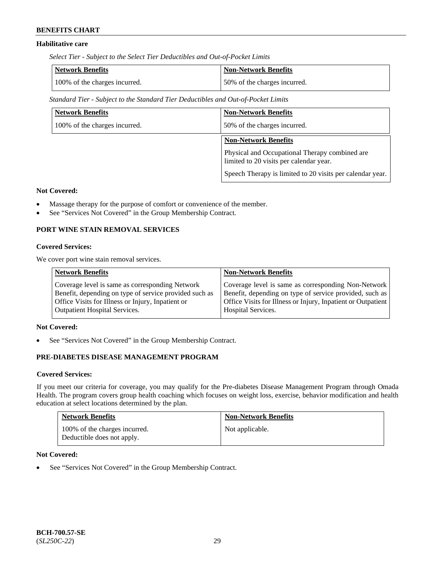# **Habilitative care**

*Select Tier - Subject to the Select Tier Deductibles and Out-of-Pocket Limits*

| Network Benefits              | <b>Non-Network Benefits</b>  |
|-------------------------------|------------------------------|
| 100% of the charges incurred. | 50% of the charges incurred. |

*Standard Tier - Subject to the Standard Tier Deductibles and Out-of-Pocket Limits*

| <b>Network Benefits</b>       | <b>Non-Network Benefits</b>                                                               |
|-------------------------------|-------------------------------------------------------------------------------------------|
| 100% of the charges incurred. | 50% of the charges incurred.                                                              |
|                               | <b>Non-Network Benefits</b>                                                               |
|                               | Physical and Occupational Therapy combined are<br>limited to 20 visits per calendar year. |
|                               | Speech Therapy is limited to 20 visits per calendar year.                                 |

### **Not Covered:**

- Massage therapy for the purpose of comfort or convenience of the member.
- See "Services Not Covered" in the Group Membership Contract.

# **PORT WINE STAIN REMOVAL SERVICES**

#### **Covered Services:**

We cover port wine stain removal services.

| Coverage level is same as corresponding Network                                                                 | <b>Network Benefits</b>                                | <b>Non-Network Benefits</b>                                                                                                                                                    |
|-----------------------------------------------------------------------------------------------------------------|--------------------------------------------------------|--------------------------------------------------------------------------------------------------------------------------------------------------------------------------------|
| Office Visits for Illness or Injury, Inpatient or<br><b>Outpatient Hospital Services.</b><br>Hospital Services. | Benefit, depending on type of service provided such as | Coverage level is same as corresponding Non-Network<br>Benefit, depending on type of service provided, such as<br>Office Visits for Illness or Injury, Inpatient or Outpatient |

#### **Not Covered:**

See "Services Not Covered" in the Group Membership Contract.

# **PRE-DIABETES DISEASE MANAGEMENT PROGRAM**

#### **Covered Services:**

If you meet our criteria for coverage, you may qualify for the Pre-diabetes Disease Management Program through Omada Health. The program covers group health coaching which focuses on weight loss, exercise, behavior modification and health education at select locations determined by the plan.

| <b>Network Benefits</b>                                     | <b>Non-Network Benefits</b> |
|-------------------------------------------------------------|-----------------------------|
| 100% of the charges incurred.<br>Deductible does not apply. | Not applicable.             |

### **Not Covered:**

• See "Services Not Covered" in the Group Membership Contract.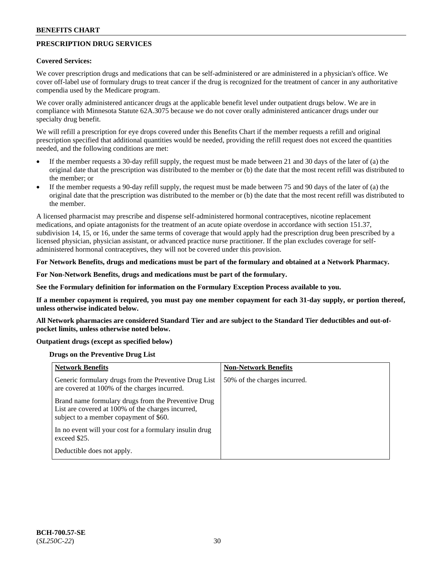# **PRESCRIPTION DRUG SERVICES**

#### **Covered Services:**

We cover prescription drugs and medications that can be self-administered or are administered in a physician's office. We cover off-label use of formulary drugs to treat cancer if the drug is recognized for the treatment of cancer in any authoritative compendia used by the Medicare program.

We cover orally administered anticancer drugs at the applicable benefit level under outpatient drugs below. We are in compliance with Minnesota Statute 62A.3075 because we do not cover orally administered anticancer drugs under our specialty drug benefit.

We will refill a prescription for eye drops covered under this Benefits Chart if the member requests a refill and original prescription specified that additional quantities would be needed, providing the refill request does not exceed the quantities needed, and the following conditions are met:

- If the member requests a 30-day refill supply, the request must be made between 21 and 30 days of the later of (a) the original date that the prescription was distributed to the member or (b) the date that the most recent refill was distributed to the member; or
- If the member requests a 90-day refill supply, the request must be made between 75 and 90 days of the later of (a) the original date that the prescription was distributed to the member or (b) the date that the most recent refill was distributed to the member.

A licensed pharmacist may prescribe and dispense self-administered hormonal contraceptives, nicotine replacement medications, and opiate antagonists for the treatment of an acute opiate overdose in accordance with section 151.37, subdivision 14, 15, or 16, under the same terms of coverage that would apply had the prescription drug been prescribed by a licensed physician, physician assistant, or advanced practice nurse practitioner. If the plan excludes coverage for selfadministered hormonal contraceptives, they will not be covered under this provision.

### **For Network Benefits, drugs and medications must be part of the formulary and obtained at a Network Pharmacy.**

#### **For Non-Network Benefits, drugs and medications must be part of the formulary.**

**See the Formulary definition for information on the Formulary Exception Process available to you.**

**If a member copayment is required, you must pay one member copayment for each 31-day supply, or portion thereof, unless otherwise indicated below.**

**All Network pharmacies are considered Standard Tier and are subject to the Standard Tier deductibles and out-ofpocket limits, unless otherwise noted below.**

### **Outpatient drugs (except as specified below)**

#### **Drugs on the Preventive Drug List**

| <b>Network Benefits</b>                                                                                                                            | <b>Non-Network Benefits</b>  |
|----------------------------------------------------------------------------------------------------------------------------------------------------|------------------------------|
| Generic formulary drugs from the Preventive Drug List<br>are covered at 100% of the charges incurred.                                              | 50% of the charges incurred. |
| Brand name formulary drugs from the Preventive Drug<br>List are covered at 100% of the charges incurred,<br>subject to a member copayment of \$60. |                              |
| In no event will your cost for a formulary insulin drug<br>exceed \$25.                                                                            |                              |
| Deductible does not apply.                                                                                                                         |                              |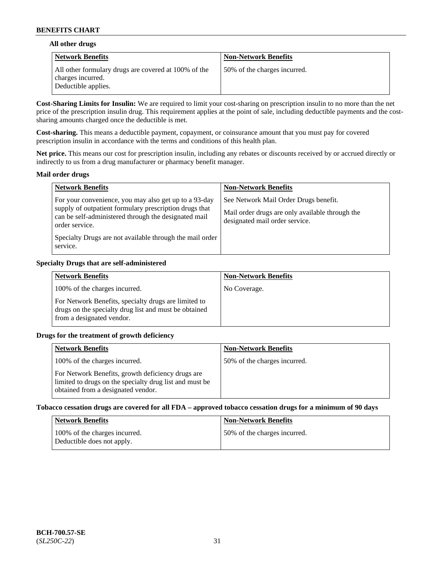### **All other drugs**

| Network Benefits                                                                                 | <b>Non-Network Benefits</b>  |
|--------------------------------------------------------------------------------------------------|------------------------------|
| All other formulary drugs are covered at 100% of the<br>charges incurred.<br>Deductible applies. | 50% of the charges incurred. |

**Cost-Sharing Limits for Insulin:** We are required to limit your cost-sharing on prescription insulin to no more than the net price of the prescription insulin drug. This requirement applies at the point of sale, including deductible payments and the costsharing amounts charged once the deductible is met.

**Cost-sharing.** This means a deductible payment, copayment, or coinsurance amount that you must pay for covered prescription insulin in accordance with the terms and conditions of this health plan.

**Net price.** This means our cost for prescription insulin, including any rebates or discounts received by or accrued directly or indirectly to us from a drug manufacturer or pharmacy benefit manager.

#### **Mail order drugs**

| <b>Network Benefits</b>                                                                                                                                                                                                                                           | <b>Non-Network Benefits</b>                                                                                                |
|-------------------------------------------------------------------------------------------------------------------------------------------------------------------------------------------------------------------------------------------------------------------|----------------------------------------------------------------------------------------------------------------------------|
| For your convenience, you may also get up to a 93-day<br>supply of outpatient formulary prescription drugs that<br>can be self-administered through the designated mail<br>order service.<br>Specialty Drugs are not available through the mail order<br>service. | See Network Mail Order Drugs benefit.<br>Mail order drugs are only available through the<br>designated mail order service. |

### **Specialty Drugs that are self-administered**

| <b>Network Benefits</b>                                                                                                                    | <b>Non-Network Benefits</b> |
|--------------------------------------------------------------------------------------------------------------------------------------------|-----------------------------|
| 100% of the charges incurred.                                                                                                              | No Coverage.                |
| For Network Benefits, specialty drugs are limited to<br>drugs on the specialty drug list and must be obtained<br>from a designated vendor. |                             |

### **Drugs for the treatment of growth deficiency**

| <b>Network Benefits</b>                                                                                                                            | <b>Non-Network Benefits</b>  |
|----------------------------------------------------------------------------------------------------------------------------------------------------|------------------------------|
| 100% of the charges incurred.                                                                                                                      | 50% of the charges incurred. |
| For Network Benefits, growth deficiency drugs are<br>limited to drugs on the specialty drug list and must be<br>obtained from a designated vendor. |                              |

#### **Tobacco cessation drugs are covered for all FDA – approved tobacco cessation drugs for a minimum of 90 days**

| <b>Network Benefits</b>                                     | <b>Non-Network Benefits</b>  |
|-------------------------------------------------------------|------------------------------|
| 100% of the charges incurred.<br>Deductible does not apply. | 50% of the charges incurred. |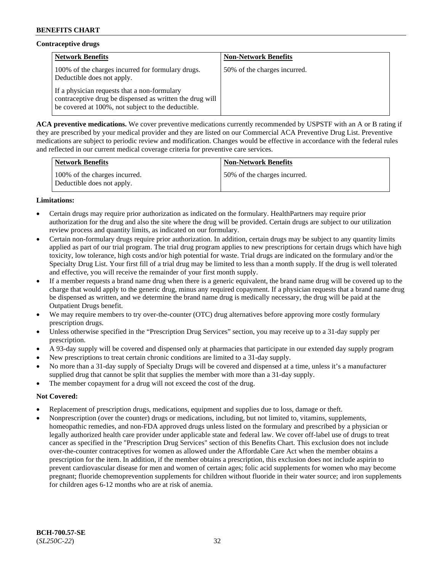# **Contraceptive drugs**

| <b>Network Benefits</b>                                                                                                                                        | <b>Non-Network Benefits</b>  |
|----------------------------------------------------------------------------------------------------------------------------------------------------------------|------------------------------|
| 100% of the charges incurred for formulary drugs.<br>Deductible does not apply.                                                                                | 50% of the charges incurred. |
| If a physician requests that a non-formulary<br>contraceptive drug be dispensed as written the drug will<br>be covered at 100%, not subject to the deductible. |                              |

**ACA preventive medications.** We cover preventive medications currently recommended by USPSTF with an A or B rating if they are prescribed by your medical provider and they are listed on our Commercial ACA Preventive Drug List. Preventive medications are subject to periodic review and modification. Changes would be effective in accordance with the federal rules and reflected in our current medical coverage criteria for preventive care services.

| Network Benefits                                            | <b>Non-Network Benefits</b>  |
|-------------------------------------------------------------|------------------------------|
| 100% of the charges incurred.<br>Deductible does not apply. | 50% of the charges incurred. |

# **Limitations:**

- Certain drugs may require prior authorization as indicated on the formulary. HealthPartners may require prior authorization for the drug and also the site where the drug will be provided. Certain drugs are subject to our utilization review process and quantity limits, as indicated on our formulary.
- Certain non-formulary drugs require prior authorization. In addition, certain drugs may be subject to any quantity limits applied as part of our trial program. The trial drug program applies to new prescriptions for certain drugs which have high toxicity, low tolerance, high costs and/or high potential for waste. Trial drugs are indicated on the formulary and/or the Specialty Drug List. Your first fill of a trial drug may be limited to less than a month supply. If the drug is well tolerated and effective, you will receive the remainder of your first month supply.
- If a member requests a brand name drug when there is a generic equivalent, the brand name drug will be covered up to the charge that would apply to the generic drug, minus any required copayment. If a physician requests that a brand name drug be dispensed as written, and we determine the brand name drug is medically necessary, the drug will be paid at the Outpatient Drugs benefit.
- We may require members to try over-the-counter (OTC) drug alternatives before approving more costly formulary prescription drugs.
- Unless otherwise specified in the "Prescription Drug Services" section, you may receive up to a 31-day supply per prescription.
- A 93-day supply will be covered and dispensed only at pharmacies that participate in our extended day supply program
- New prescriptions to treat certain chronic conditions are limited to a 31-day supply.
- No more than a 31-day supply of Specialty Drugs will be covered and dispensed at a time, unless it's a manufacturer supplied drug that cannot be split that supplies the member with more than a 31-day supply.
- The member copayment for a drug will not exceed the cost of the drug.

### **Not Covered:**

- Replacement of prescription drugs, medications, equipment and supplies due to loss, damage or theft.
- Nonprescription (over the counter) drugs or medications, including, but not limited to, vitamins, supplements, homeopathic remedies, and non-FDA approved drugs unless listed on the formulary and prescribed by a physician or legally authorized health care provider under applicable state and federal law. We cover off-label use of drugs to treat cancer as specified in the "Prescription Drug Services" section of this Benefits Chart. This exclusion does not include over-the-counter contraceptives for women as allowed under the Affordable Care Act when the member obtains a prescription for the item. In addition, if the member obtains a prescription, this exclusion does not include aspirin to prevent cardiovascular disease for men and women of certain ages; folic acid supplements for women who may become pregnant; fluoride chemoprevention supplements for children without fluoride in their water source; and iron supplements for children ages 6-12 months who are at risk of anemia.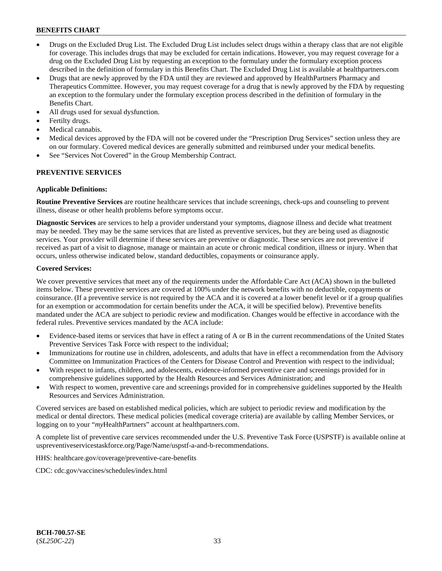- Drugs on the Excluded Drug List. The Excluded Drug List includes select drugs within a therapy class that are not eligible for coverage. This includes drugs that may be excluded for certain indications. However, you may request coverage for a drug on the Excluded Drug List by requesting an exception to the formulary under the formulary exception process described in the definition of formulary in this Benefits Chart. The Excluded Drug List is available at [healthpartners.com](http://www.healthpartners.com/)
- Drugs that are newly approved by the FDA until they are reviewed and approved by HealthPartners Pharmacy and Therapeutics Committee. However, you may request coverage for a drug that is newly approved by the FDA by requesting an exception to the formulary under the formulary exception process described in the definition of formulary in the Benefits Chart.
- All drugs used for sexual dysfunction.
- Fertilty drugs.
- Medical cannabis.
- Medical devices approved by the FDA will not be covered under the "Prescription Drug Services" section unless they are on our formulary. Covered medical devices are generally submitted and reimbursed under your medical benefits.
- See "Services Not Covered" in the Group Membership Contract.

### **PREVENTIVE SERVICES**

#### **Applicable Definitions:**

**Routine Preventive Services** are routine healthcare services that include screenings, check-ups and counseling to prevent illness, disease or other health problems before symptoms occur.

**Diagnostic Services** are services to help a provider understand your symptoms, diagnose illness and decide what treatment may be needed. They may be the same services that are listed as preventive services, but they are being used as diagnostic services. Your provider will determine if these services are preventive or diagnostic. These services are not preventive if received as part of a visit to diagnose, manage or maintain an acute or chronic medical condition, illness or injury. When that occurs, unless otherwise indicated below, standard deductibles, copayments or coinsurance apply.

#### **Covered Services:**

We cover preventive services that meet any of the requirements under the Affordable Care Act (ACA) shown in the bulleted items below. These preventive services are covered at 100% under the network benefits with no deductible, copayments or coinsurance. (If a preventive service is not required by the ACA and it is covered at a lower benefit level or if a group qualifies for an exemption or accommodation for certain benefits under the ACA, it will be specified below). Preventive benefits mandated under the ACA are subject to periodic review and modification. Changes would be effective in accordance with the federal rules. Preventive services mandated by the ACA include:

- Evidence-based items or services that have in effect a rating of A or B in the current recommendations of the United States Preventive Services Task Force with respect to the individual;
- Immunizations for routine use in children, adolescents, and adults that have in effect a recommendation from the Advisory Committee on Immunization Practices of the Centers for Disease Control and Prevention with respect to the individual;
- With respect to infants, children, and adolescents, evidence-informed preventive care and screenings provided for in comprehensive guidelines supported by the Health Resources and Services Administration; and
- With respect to women, preventive care and screenings provided for in comprehensive guidelines supported by the Health Resources and Services Administration.

Covered services are based on established medical policies, which are subject to periodic review and modification by the medical or dental directors. These medical policies (medical coverage criteria) are available by calling Member Services, or logging on to your "*my*HealthPartners" account at [healthpartners.com.](http://www.healthpartners.com/)

A complete list of preventive care services recommended under the U.S. Preventive Task Force (USPSTF) is available online at [uspreventiveservicestaskforce.org/Page/Name/uspstf-a-and-b-recommendations.](https://www.uspreventiveservicestaskforce.org/Page/Name/uspstf-a-and-b-recommendations-by-date/)

HHS: [healthcare.gov/coverage/preventive-care-benefits](https://www.healthcare.gov/coverage/preventive-care-benefits/)

CDC: [cdc.gov/vaccines/schedules/index.html](https://www.cdc.gov/vaccines/schedules/index.html)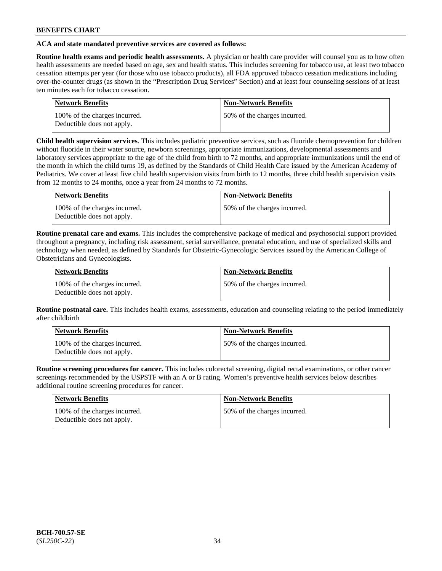### **ACA and state mandated preventive services are covered as follows:**

**Routine health exams and periodic health assessments.** A physician or health care provider will counsel you as to how often health assessments are needed based on age, sex and health status. This includes screening for tobacco use, at least two tobacco cessation attempts per year (for those who use tobacco products), all FDA approved tobacco cessation medications including over-the-counter drugs (as shown in the "Prescription Drug Services" Section) and at least four counseling sessions of at least ten minutes each for tobacco cessation.

| <b>Network Benefits</b>                                     | <b>Non-Network Benefits</b>  |
|-------------------------------------------------------------|------------------------------|
| 100% of the charges incurred.<br>Deductible does not apply. | 50% of the charges incurred. |

**Child health supervision services**. This includes pediatric preventive services, such as fluoride chemoprevention for children without fluoride in their water source, newborn screenings, appropriate immunizations, developmental assessments and laboratory services appropriate to the age of the child from birth to 72 months, and appropriate immunizations until the end of the month in which the child turns 19, as defined by the Standards of Child Health Care issued by the American Academy of Pediatrics. We cover at least five child health supervision visits from birth to 12 months, three child health supervision visits from 12 months to 24 months, once a year from 24 months to 72 months.

| Network Benefits                                            | <b>Non-Network Benefits</b>  |
|-------------------------------------------------------------|------------------------------|
| 100% of the charges incurred.<br>Deductible does not apply. | 50% of the charges incurred. |

**Routine prenatal care and exams.** This includes the comprehensive package of medical and psychosocial support provided throughout a pregnancy, including risk assessment, serial surveillance, prenatal education, and use of specialized skills and technology when needed, as defined by Standards for Obstetric-Gynecologic Services issued by the American College of Obstetricians and Gynecologists.

| Network Benefits                                            | <b>Non-Network Benefits</b>   |
|-------------------------------------------------------------|-------------------------------|
| 100% of the charges incurred.<br>Deductible does not apply. | 150% of the charges incurred. |

**Routine postnatal care.** This includes health exams, assessments, education and counseling relating to the period immediately after childbirth

| Network Benefits                                            | <b>Non-Network Benefits</b>  |
|-------------------------------------------------------------|------------------------------|
| 100% of the charges incurred.<br>Deductible does not apply. | 50% of the charges incurred. |

**Routine screening procedures for cancer.** This includes colorectal screening, digital rectal examinations, or other cancer screenings recommended by the USPSTF with an A or B rating. Women's preventive health services below describes additional routine screening procedures for cancer.

| <b>Network Benefits</b>                                     | <b>Non-Network Benefits</b>  |
|-------------------------------------------------------------|------------------------------|
| 100% of the charges incurred.<br>Deductible does not apply. | 50% of the charges incurred. |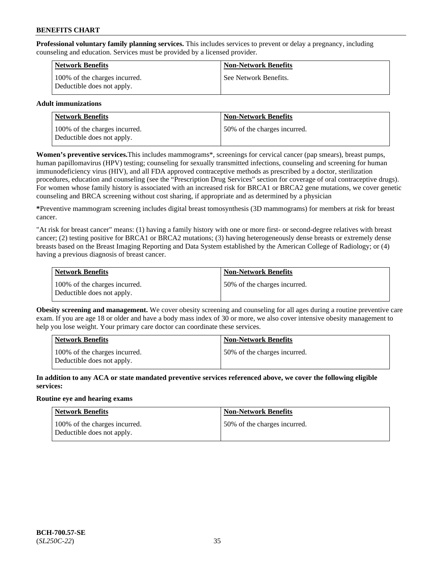**Professional voluntary family planning services.** This includes services to prevent or delay a pregnancy, including counseling and education. Services must be provided by a licensed provider.

| <b>Network Benefits</b>                                     | <b>Non-Network Benefits</b> |
|-------------------------------------------------------------|-----------------------------|
| 100% of the charges incurred.<br>Deductible does not apply. | See Network Benefits.       |

### **Adult immunizations**

| <b>Network Benefits</b>                                     | <b>Non-Network Benefits</b>  |
|-------------------------------------------------------------|------------------------------|
| 100% of the charges incurred.<br>Deductible does not apply. | 50% of the charges incurred. |

**Women's preventive services.**This includes mammograms\*, screenings for cervical cancer (pap smears), breast pumps, human papillomavirus (HPV) testing; counseling for sexually transmitted infections, counseling and screening for human immunodeficiency virus (HIV), and all FDA approved contraceptive methods as prescribed by a doctor, sterilization procedures, education and counseling (see the "Prescription Drug Services" section for coverage of oral contraceptive drugs). For women whose family history is associated with an increased risk for BRCA1 or BRCA2 gene mutations, we cover genetic counseling and BRCA screening without cost sharing, if appropriate and as determined by a physician

**\***Preventive mammogram screening includes digital breast tomosynthesis (3D mammograms) for members at risk for breast cancer.

"At risk for breast cancer" means: (1) having a family history with one or more first- or second-degree relatives with breast cancer; (2) testing positive for BRCA1 or BRCA2 mutations; (3) having heterogeneously dense breasts or extremely dense breasts based on the Breast Imaging Reporting and Data System established by the American College of Radiology; or (4) having a previous diagnosis of breast cancer.

| Network Benefits                                            | <b>Non-Network Benefits</b>  |
|-------------------------------------------------------------|------------------------------|
| 100% of the charges incurred.<br>Deductible does not apply. | 50% of the charges incurred. |

**Obesity screening and management.** We cover obesity screening and counseling for all ages during a routine preventive care exam. If you are age 18 or older and have a body mass index of 30 or more, we also cover intensive obesity management to help you lose weight. Your primary care doctor can coordinate these services.

| Network Benefits                                            | <b>Non-Network Benefits</b>  |
|-------------------------------------------------------------|------------------------------|
| 100% of the charges incurred.<br>Deductible does not apply. | 50% of the charges incurred. |

**In addition to any ACA or state mandated preventive services referenced above, we cover the following eligible services:**

### **Routine eye and hearing exams**

| Network Benefits                                            | <b>Non-Network Benefits</b>  |
|-------------------------------------------------------------|------------------------------|
| 100% of the charges incurred.<br>Deductible does not apply. | 50% of the charges incurred. |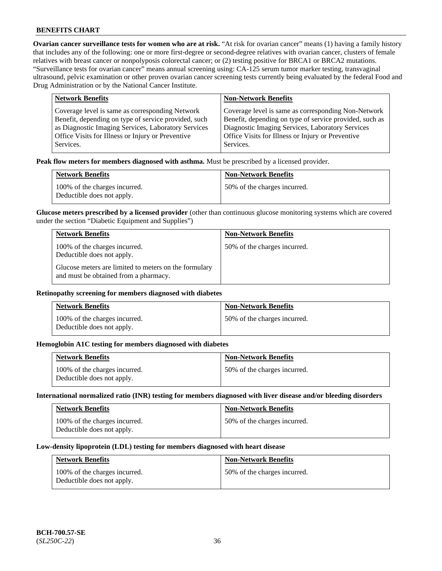**Ovarian cancer surveillance tests for women who are at risk.** "At risk for ovarian cancer" means (1) having a family history that includes any of the following: one or more first-degree or second-degree relatives with ovarian cancer, clusters of female relatives with breast cancer or nonpolyposis colorectal cancer; or (2) testing positive for BRCA1 or BRCA2 mutations. "Surveillance tests for ovarian cancer" means annual screening using: CA-125 serum tumor marker testing, transvaginal ultrasound, pelvic examination or other proven ovarian cancer screening tests currently being evaluated by the federal Food and Drug Administration or by the National Cancer Institute.

| <b>Network Benefits</b>                              | <b>Non-Network Benefits</b>                             |
|------------------------------------------------------|---------------------------------------------------------|
| Coverage level is same as corresponding Network      | Coverage level is same as corresponding Non-Network     |
| Benefit, depending on type of service provided, such | Benefit, depending on type of service provided, such as |
| as Diagnostic Imaging Services, Laboratory Services  | Diagnostic Imaging Services, Laboratory Services        |
| Office Visits for Illness or Injury or Preventive    | Office Visits for Illness or Injury or Preventive       |
| Services.                                            | Services.                                               |

**Peak flow meters for members diagnosed with asthma.** Must be prescribed by a licensed provider.

| <b>Network Benefits</b>                                     | <b>Non-Network Benefits</b>  |
|-------------------------------------------------------------|------------------------------|
| 100% of the charges incurred.<br>Deductible does not apply. | 50% of the charges incurred. |

**Glucose meters prescribed by a licensed provider** (other than continuous glucose monitoring systems which are covered under the section "Diabetic Equipment and Supplies")

| <b>Network Benefits</b>                                                                        | <b>Non-Network Benefits</b>  |
|------------------------------------------------------------------------------------------------|------------------------------|
| 100% of the charges incurred.<br>Deductible does not apply.                                    | 50% of the charges incurred. |
| Glucose meters are limited to meters on the formulary<br>and must be obtained from a pharmacy. |                              |

#### **Retinopathy screening for members diagnosed with diabetes**

| <b>Network Benefits</b>                                     | <b>Non-Network Benefits</b>  |
|-------------------------------------------------------------|------------------------------|
| 100% of the charges incurred.<br>Deductible does not apply. | 50% of the charges incurred. |

#### **Hemoglobin A1C testing for members diagnosed with diabetes**

| <b>Network Benefits</b>                                     | <b>Non-Network Benefits</b>  |
|-------------------------------------------------------------|------------------------------|
| 100% of the charges incurred.<br>Deductible does not apply. | 50% of the charges incurred. |

#### **International normalized ratio (INR) testing for members diagnosed with liver disease and/or bleeding disorders**

| <b>Network Benefits</b>                                     | <b>Non-Network Benefits</b>  |
|-------------------------------------------------------------|------------------------------|
| 100% of the charges incurred.<br>Deductible does not apply. | 50% of the charges incurred. |

#### **Low-density lipoprotein (LDL) testing for members diagnosed with heart disease**

| <b>Network Benefits</b>                                     | <b>Non-Network Benefits</b>  |
|-------------------------------------------------------------|------------------------------|
| 100% of the charges incurred.<br>Deductible does not apply. | 50% of the charges incurred. |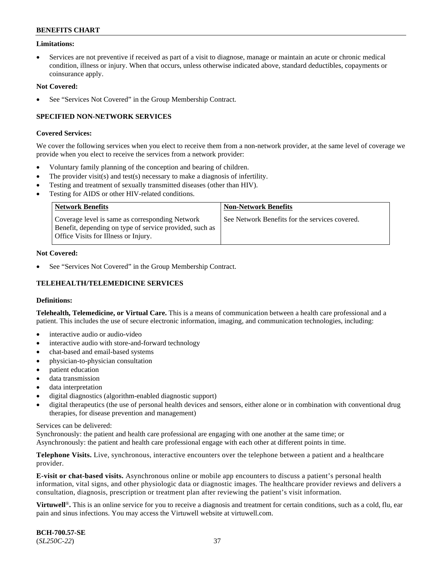### **Limitations:**

• Services are not preventive if received as part of a visit to diagnose, manage or maintain an acute or chronic medical condition, illness or injury. When that occurs, unless otherwise indicated above, standard deductibles, copayments or coinsurance apply.

#### **Not Covered:**

See "Services Not Covered" in the Group Membership Contract.

### **SPECIFIED NON-NETWORK SERVICES**

#### **Covered Services:**

We cover the following services when you elect to receive them from a non-network provider, at the same level of coverage we provide when you elect to receive the services from a network provider:

- Voluntary family planning of the conception and bearing of children.
- The provider visit(s) and test(s) necessary to make a diagnosis of infertility.
- Testing and treatment of sexually transmitted diseases (other than HIV).
- Testing for AIDS or other HIV-related conditions.

| <b>Network Benefits</b>                                                                                                                                   | <b>Non-Network Benefits</b>                    |
|-----------------------------------------------------------------------------------------------------------------------------------------------------------|------------------------------------------------|
| Coverage level is same as corresponding Network<br>Benefit, depending on type of service provided, such as<br><b>Office Visits for Illness or Injury.</b> | See Network Benefits for the services covered. |

#### **Not Covered:**

See "Services Not Covered" in the Group Membership Contract.

# **TELEHEALTH/TELEMEDICINE SERVICES**

#### **Definitions:**

**Telehealth, Telemedicine, or Virtual Care.** This is a means of communication between a health care professional and a patient. This includes the use of secure electronic information, imaging, and communication technologies, including:

- interactive audio or audio-video
- interactive audio with store-and-forward technology
- chat-based and email-based systems
- physician-to-physician consultation
- patient education
- data transmission
- data interpretation
- digital diagnostics (algorithm-enabled diagnostic support)
- digital therapeutics (the use of personal health devices and sensors, either alone or in combination with conventional drug therapies, for disease prevention and management)

#### Services can be delivered:

Synchronously: the patient and health care professional are engaging with one another at the same time; or Asynchronously: the patient and health care professional engage with each other at different points in time.

**Telephone Visits.** Live, synchronous, interactive encounters over the telephone between a patient and a healthcare provider.

**E-visit or chat-based visits.** Asynchronous online or mobile app encounters to discuss a patient's personal health information, vital signs, and other physiologic data or diagnostic images. The healthcare provider reviews and delivers a consultation, diagnosis, prescription or treatment plan after reviewing the patient's visit information.

**Virtuwell<sup>®</sup>**. This is an online service for you to receive a diagnosis and treatment for certain conditions, such as a cold, flu, ear pain and sinus infections. You may access the Virtuwell website at [virtuwell.com.](https://www.virtuwell.com/)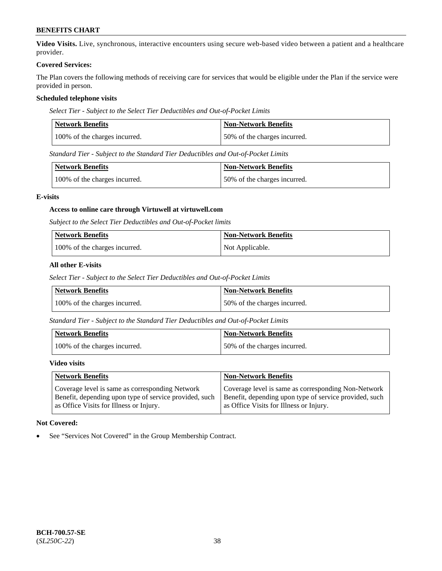**Video Visits.** Live, synchronous, interactive encounters using secure web-based video between a patient and a healthcare provider.

#### **Covered Services:**

The Plan covers the following methods of receiving care for services that would be eligible under the Plan if the service were provided in person.

### **Scheduled telephone visits**

*Select Tier - Subject to the Select Tier Deductibles and Out-of-Pocket Limits*

| Network Benefits              | <b>Non-Network Benefits</b>  |
|-------------------------------|------------------------------|
| 100% of the charges incurred. | 50% of the charges incurred. |

*Standard Tier - Subject to the Standard Tier Deductibles and Out-of-Pocket Limits*

| Network Benefits              | <b>Non-Network Benefits</b>  |
|-------------------------------|------------------------------|
| 100% of the charges incurred. | 50% of the charges incurred. |

### **E-visits**

### **Access to online care through Virtuwell at [virtuwell.com](https://www.virtuwell.com/)**

*Subject to the Select Tier Deductibles and Out-of-Pocket limits*

| <b>Network Benefits</b>       | <b>Non-Network Benefits</b> |
|-------------------------------|-----------------------------|
| 100% of the charges incurred. | Not Applicable.             |

### **All other E-visits**

*Select Tier - Subject to the Select Tier Deductibles and Out-of-Pocket Limits*

| Network Benefits              | Non-Network Benefits         |
|-------------------------------|------------------------------|
| 100% of the charges incurred. | 50% of the charges incurred. |

*Standard Tier - Subject to the Standard Tier Deductibles and Out-of-Pocket Limits*

| Network Benefits              | <b>Non-Network Benefits</b>  |
|-------------------------------|------------------------------|
| 100% of the charges incurred. | 50% of the charges incurred. |

#### **Video visits**

| <b>Network Benefits</b>                                | <b>Non-Network Benefits</b>                            |
|--------------------------------------------------------|--------------------------------------------------------|
| Coverage level is same as corresponding Network        | Coverage level is same as corresponding Non-Network    |
| Benefit, depending upon type of service provided, such | Benefit, depending upon type of service provided, such |
| as Office Visits for Illness or Injury.                | as Office Visits for Illness or Injury.                |

### **Not Covered:**

See "Services Not Covered" in the Group Membership Contract.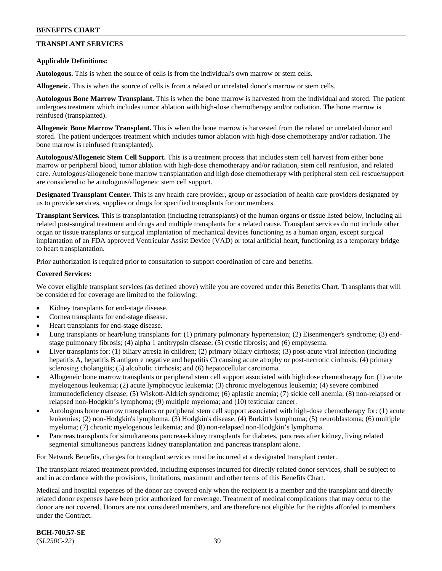# **TRANSPLANT SERVICES**

#### **Applicable Definitions:**

**Autologous.** This is when the source of cells is from the individual's own marrow or stem cells.

**Allogeneic.** This is when the source of cells is from a related or unrelated donor's marrow or stem cells.

**Autologous Bone Marrow Transplant.** This is when the bone marrow is harvested from the individual and stored. The patient undergoes treatment which includes tumor ablation with high-dose chemotherapy and/or radiation. The bone marrow is reinfused (transplanted).

**Allogeneic Bone Marrow Transplant.** This is when the bone marrow is harvested from the related or unrelated donor and stored. The patient undergoes treatment which includes tumor ablation with high-dose chemotherapy and/or radiation. The bone marrow is reinfused (transplanted).

**Autologous/Allogeneic Stem Cell Support.** This is a treatment process that includes stem cell harvest from either bone marrow or peripheral blood, tumor ablation with high-dose chemotherapy and/or radiation, stem cell reinfusion, and related care. Autologous/allogeneic bone marrow transplantation and high dose chemotherapy with peripheral stem cell rescue/support are considered to be autologous/allogeneic stem cell support.

**Designated Transplant Center.** This is any health care provider, group or association of health care providers designated by us to provide services, supplies or drugs for specified transplants for our members.

**Transplant Services.** This is transplantation (including retransplants) of the human organs or tissue listed below, including all related post-surgical treatment and drugs and multiple transplants for a related cause. Transplant services do not include other organ or tissue transplants or surgical implantation of mechanical devices functioning as a human organ, except surgical implantation of an FDA approved Ventricular Assist Device (VAD) or total artificial heart, functioning as a temporary bridge to heart transplantation.

Prior authorization is required prior to consultation to support coordination of care and benefits.

#### **Covered Services:**

We cover eligible transplant services (as defined above) while you are covered under this Benefits Chart. Transplants that will be considered for coverage are limited to the following:

- Kidney transplants for end-stage disease.
- Cornea transplants for end-stage disease.
- Heart transplants for end-stage disease.
- Lung transplants or heart/lung transplants for: (1) primary pulmonary hypertension; (2) Eisenmenger's syndrome; (3) endstage pulmonary fibrosis; (4) alpha 1 antitrypsin disease; (5) cystic fibrosis; and (6) emphysema.
- Liver transplants for: (1) biliary atresia in children; (2) primary biliary cirrhosis; (3) post-acute viral infection (including hepatitis A, hepatitis B antigen e negative and hepatitis C) causing acute atrophy or post-necrotic cirrhosis; (4) primary sclerosing cholangitis; (5) alcoholic cirrhosis; and (6) hepatocellular carcinoma.
- Allogeneic bone marrow transplants or peripheral stem cell support associated with high dose chemotherapy for: (1) acute myelogenous leukemia; (2) acute lymphocytic leukemia; (3) chronic myelogenous leukemia; (4) severe combined immunodeficiency disease; (5) Wiskott-Aldrich syndrome; (6) aplastic anemia; (7) sickle cell anemia; (8) non-relapsed or relapsed non-Hodgkin's lymphoma; (9) multiple myeloma; and (10) testicular cancer.
- Autologous bone marrow transplants or peripheral stem cell support associated with high-dose chemotherapy for: (1) acute leukemias; (2) non-Hodgkin's lymphoma; (3) Hodgkin's disease; (4) Burkitt's lymphoma; (5) neuroblastoma; (6) multiple myeloma; (7) chronic myelogenous leukemia; and (8) non-relapsed non-Hodgkin's lymphoma.
- Pancreas transplants for simultaneous pancreas-kidney transplants for diabetes, pancreas after kidney, living related segmental simultaneous pancreas kidney transplantation and pancreas transplant alone.

For Network Benefits, charges for transplant services must be incurred at a designated transplant center.

The transplant-related treatment provided, including expenses incurred for directly related donor services, shall be subject to and in accordance with the provisions, limitations, maximum and other terms of this Benefits Chart.

Medical and hospital expenses of the donor are covered only when the recipient is a member and the transplant and directly related donor expenses have been prior authorized for coverage. Treatment of medical complications that may occur to the donor are not covered. Donors are not considered members, and are therefore not eligible for the rights afforded to members under the Contract.